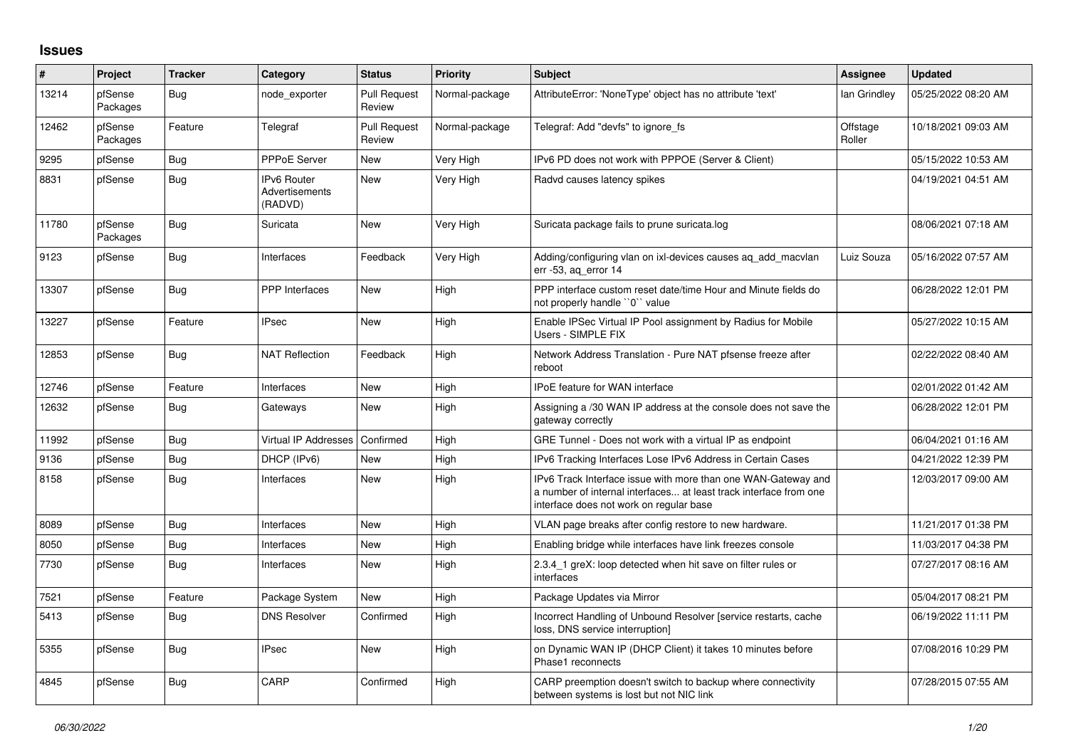## **Issues**

| $\#$  | Project             | <b>Tracker</b> | Category                                        | <b>Status</b>                 | <b>Priority</b> | <b>Subject</b>                                                                                                                                                                | <b>Assignee</b>    | <b>Updated</b>      |
|-------|---------------------|----------------|-------------------------------------------------|-------------------------------|-----------------|-------------------------------------------------------------------------------------------------------------------------------------------------------------------------------|--------------------|---------------------|
| 13214 | pfSense<br>Packages | Bug            | node exporter                                   | <b>Pull Request</b><br>Review | Normal-package  | AttributeError: 'NoneType' object has no attribute 'text'                                                                                                                     | lan Grindley       | 05/25/2022 08:20 AM |
| 12462 | pfSense<br>Packages | Feature        | Telegraf                                        | <b>Pull Request</b><br>Review | Normal-package  | Telegraf: Add "devfs" to ignore_fs                                                                                                                                            | Offstage<br>Roller | 10/18/2021 09:03 AM |
| 9295  | pfSense             | <b>Bug</b>     | <b>PPPoE Server</b>                             | <b>New</b>                    | Very High       | IPv6 PD does not work with PPPOE (Server & Client)                                                                                                                            |                    | 05/15/2022 10:53 AM |
| 8831  | pfSense             | <b>Bug</b>     | <b>IPv6 Router</b><br>Advertisements<br>(RADVD) | <b>New</b>                    | Very High       | Radvd causes latency spikes                                                                                                                                                   |                    | 04/19/2021 04:51 AM |
| 11780 | pfSense<br>Packages | <b>Bug</b>     | Suricata                                        | <b>New</b>                    | Very High       | Suricata package fails to prune suricata.log                                                                                                                                  |                    | 08/06/2021 07:18 AM |
| 9123  | pfSense             | <b>Bug</b>     | Interfaces                                      | Feedback                      | Very High       | Adding/configuring vlan on ixl-devices causes ag add macvlan<br>err -53, aq_error 14                                                                                          | Luiz Souza         | 05/16/2022 07:57 AM |
| 13307 | pfSense             | <b>Bug</b>     | PPP Interfaces                                  | <b>New</b>                    | High            | PPP interface custom reset date/time Hour and Minute fields do<br>not properly handle "0" value                                                                               |                    | 06/28/2022 12:01 PM |
| 13227 | pfSense             | Feature        | <b>IPsec</b>                                    | <b>New</b>                    | High            | Enable IPSec Virtual IP Pool assignment by Radius for Mobile<br>Users - SIMPLE FIX                                                                                            |                    | 05/27/2022 10:15 AM |
| 12853 | pfSense             | Bug            | <b>NAT Reflection</b>                           | Feedback                      | High            | Network Address Translation - Pure NAT pfsense freeze after<br>reboot                                                                                                         |                    | 02/22/2022 08:40 AM |
| 12746 | pfSense             | Feature        | Interfaces                                      | New                           | High            | <b>IPoE</b> feature for WAN interface                                                                                                                                         |                    | 02/01/2022 01:42 AM |
| 12632 | pfSense             | <b>Bug</b>     | Gateways                                        | <b>New</b>                    | High            | Assigning a /30 WAN IP address at the console does not save the<br>gateway correctly                                                                                          |                    | 06/28/2022 12:01 PM |
| 11992 | pfSense             | Bug            | Virtual IP Addresses                            | Confirmed                     | High            | GRE Tunnel - Does not work with a virtual IP as endpoint                                                                                                                      |                    | 06/04/2021 01:16 AM |
| 9136  | pfSense             | <b>Bug</b>     | DHCP (IPv6)                                     | <b>New</b>                    | High            | IPv6 Tracking Interfaces Lose IPv6 Address in Certain Cases                                                                                                                   |                    | 04/21/2022 12:39 PM |
| 8158  | pfSense             | <b>Bug</b>     | Interfaces                                      | <b>New</b>                    | High            | IPv6 Track Interface issue with more than one WAN-Gateway and<br>a number of internal interfaces at least track interface from one<br>interface does not work on regular base |                    | 12/03/2017 09:00 AM |
| 8089  | pfSense             | Bug            | Interfaces                                      | <b>New</b>                    | High            | VLAN page breaks after config restore to new hardware.                                                                                                                        |                    | 11/21/2017 01:38 PM |
| 8050  | pfSense             | <b>Bug</b>     | Interfaces                                      | <b>New</b>                    | High            | Enabling bridge while interfaces have link freezes console                                                                                                                    |                    | 11/03/2017 04:38 PM |
| 7730  | pfSense             | <b>Bug</b>     | Interfaces                                      | <b>New</b>                    | High            | 2.3.4 1 greX: loop detected when hit save on filter rules or<br>interfaces                                                                                                    |                    | 07/27/2017 08:16 AM |
| 7521  | pfSense             | Feature        | Package System                                  | <b>New</b>                    | High            | Package Updates via Mirror                                                                                                                                                    |                    | 05/04/2017 08:21 PM |
| 5413  | pfSense             | Bug            | <b>DNS Resolver</b>                             | Confirmed                     | High            | Incorrect Handling of Unbound Resolver [service restarts, cache<br>loss, DNS service interruption]                                                                            |                    | 06/19/2022 11:11 PM |
| 5355  | pfSense             | Bug            | <b>IPsec</b>                                    | <b>New</b>                    | High            | on Dynamic WAN IP (DHCP Client) it takes 10 minutes before<br>Phase1 reconnects                                                                                               |                    | 07/08/2016 10:29 PM |
| 4845  | pfSense             | <b>Bug</b>     | CARP                                            | Confirmed                     | High            | CARP preemption doesn't switch to backup where connectivity<br>between systems is lost but not NIC link                                                                       |                    | 07/28/2015 07:55 AM |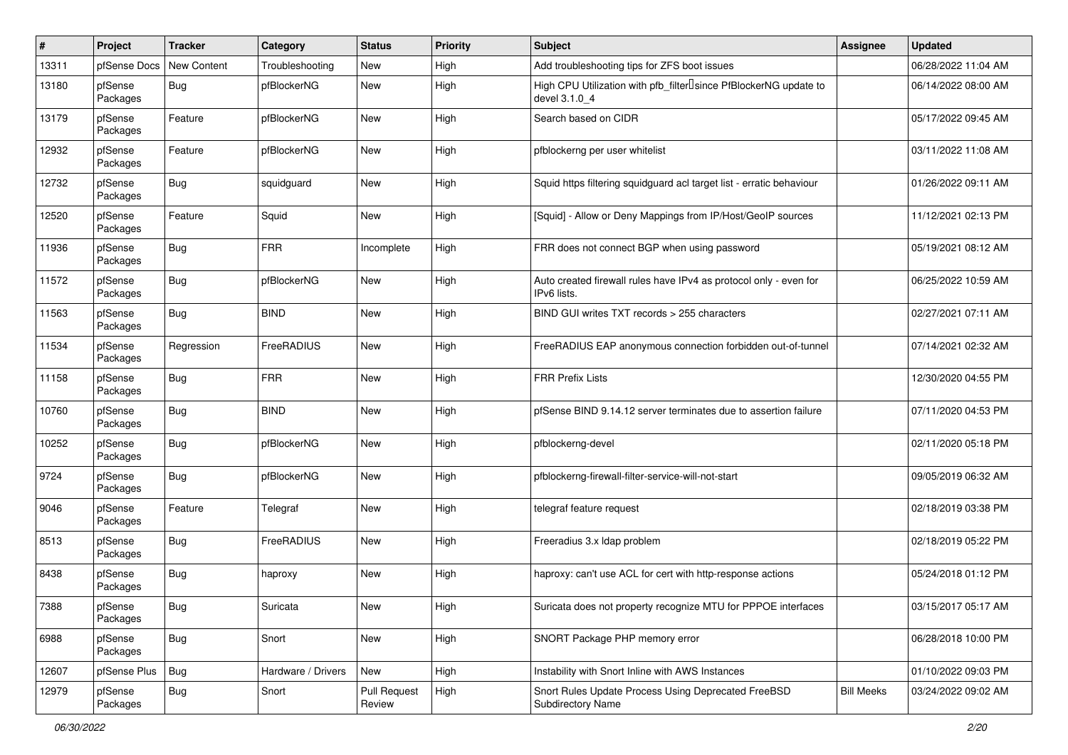| #     | Project             | <b>Tracker</b> | Category           | <b>Status</b>                 | <b>Priority</b> | <b>Subject</b>                                                                                  | <b>Assignee</b>   | <b>Updated</b>      |
|-------|---------------------|----------------|--------------------|-------------------------------|-----------------|-------------------------------------------------------------------------------------------------|-------------------|---------------------|
| 13311 | pfSense Docs        | New Content    | Troubleshooting    | New                           | High            | Add troubleshooting tips for ZFS boot issues                                                    |                   | 06/28/2022 11:04 AM |
| 13180 | pfSense<br>Packages | Bug            | pfBlockerNG        | <b>New</b>                    | High            | High CPU Utilization with pfb_filter <sup>[]</sup> since PfBlockerNG update to<br>devel 3.1.0 4 |                   | 06/14/2022 08:00 AM |
| 13179 | pfSense<br>Packages | Feature        | pfBlockerNG        | <b>New</b>                    | High            | Search based on CIDR                                                                            |                   | 05/17/2022 09:45 AM |
| 12932 | pfSense<br>Packages | Feature        | pfBlockerNG        | <b>New</b>                    | High            | pfblockerng per user whitelist                                                                  |                   | 03/11/2022 11:08 AM |
| 12732 | pfSense<br>Packages | <b>Bug</b>     | squidguard         | <b>New</b>                    | High            | Squid https filtering squidguard acl target list - erratic behaviour                            |                   | 01/26/2022 09:11 AM |
| 12520 | pfSense<br>Packages | Feature        | Squid              | <b>New</b>                    | High            | [Squid] - Allow or Deny Mappings from IP/Host/GeoIP sources                                     |                   | 11/12/2021 02:13 PM |
| 11936 | pfSense<br>Packages | <b>Bug</b>     | <b>FRR</b>         | Incomplete                    | High            | FRR does not connect BGP when using password                                                    |                   | 05/19/2021 08:12 AM |
| 11572 | pfSense<br>Packages | <b>Bug</b>     | pfBlockerNG        | <b>New</b>                    | High            | Auto created firewall rules have IPv4 as protocol only - even for<br>IPv6 lists.                |                   | 06/25/2022 10:59 AM |
| 11563 | pfSense<br>Packages | <b>Bug</b>     | <b>BIND</b>        | New                           | High            | BIND GUI writes TXT records > 255 characters                                                    |                   | 02/27/2021 07:11 AM |
| 11534 | pfSense<br>Packages | Regression     | FreeRADIUS         | New                           | High            | FreeRADIUS EAP anonymous connection forbidden out-of-tunnel                                     |                   | 07/14/2021 02:32 AM |
| 11158 | pfSense<br>Packages | <b>Bug</b>     | <b>FRR</b>         | <b>New</b>                    | High            | <b>FRR Prefix Lists</b>                                                                         |                   | 12/30/2020 04:55 PM |
| 10760 | pfSense<br>Packages | <b>Bug</b>     | <b>BIND</b>        | <b>New</b>                    | High            | pfSense BIND 9.14.12 server terminates due to assertion failure                                 |                   | 07/11/2020 04:53 PM |
| 10252 | pfSense<br>Packages | <b>Bug</b>     | pfBlockerNG        | New                           | High            | pfblockerng-devel                                                                               |                   | 02/11/2020 05:18 PM |
| 9724  | pfSense<br>Packages | <b>Bug</b>     | pfBlockerNG        | <b>New</b>                    | High            | pfblockerng-firewall-filter-service-will-not-start                                              |                   | 09/05/2019 06:32 AM |
| 9046  | pfSense<br>Packages | Feature        | Telegraf           | <b>New</b>                    | High            | telegraf feature request                                                                        |                   | 02/18/2019 03:38 PM |
| 8513  | pfSense<br>Packages | <b>Bug</b>     | FreeRADIUS         | <b>New</b>                    | High            | Freeradius 3.x Idap problem                                                                     |                   | 02/18/2019 05:22 PM |
| 8438  | pfSense<br>Packages | <b>Bug</b>     | haproxy            | New                           | High            | haproxy: can't use ACL for cert with http-response actions                                      |                   | 05/24/2018 01:12 PM |
| 7388  | pfSense<br>Packages | Bug            | Suricata           | New                           | High            | Suricata does not property recognize MTU for PPPOE interfaces                                   |                   | 03/15/2017 05:17 AM |
| 6988  | pfSense<br>Packages | <b>Bug</b>     | Snort              | New                           | High            | SNORT Package PHP memory error                                                                  |                   | 06/28/2018 10:00 PM |
| 12607 | pfSense Plus        | Bug            | Hardware / Drivers | New                           | High            | Instability with Snort Inline with AWS Instances                                                |                   | 01/10/2022 09:03 PM |
| 12979 | pfSense<br>Packages | <b>Bug</b>     | Snort              | <b>Pull Request</b><br>Review | High            | Snort Rules Update Process Using Deprecated FreeBSD<br>Subdirectory Name                        | <b>Bill Meeks</b> | 03/24/2022 09:02 AM |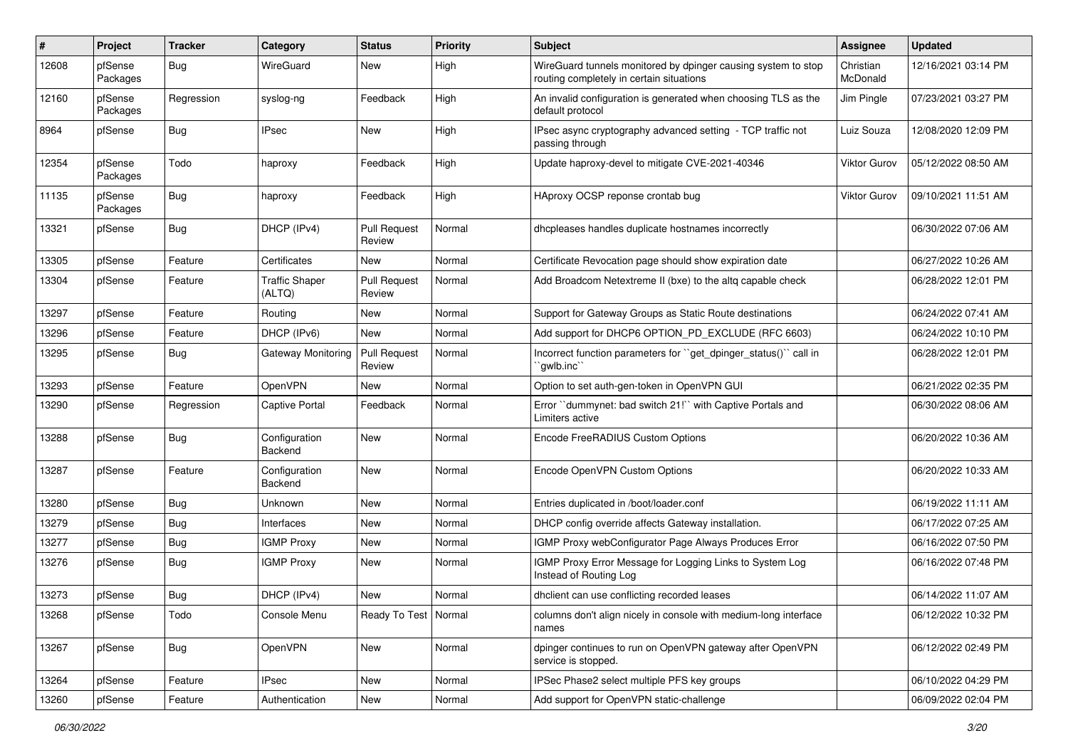| ∦     | Project             | <b>Tracker</b> | Category                        | <b>Status</b>                 | <b>Priority</b> | Subject                                                                                                   | <b>Assignee</b>       | <b>Updated</b>      |
|-------|---------------------|----------------|---------------------------------|-------------------------------|-----------------|-----------------------------------------------------------------------------------------------------------|-----------------------|---------------------|
| 12608 | pfSense<br>Packages | Bug            | WireGuard                       | <b>New</b>                    | High            | WireGuard tunnels monitored by dpinger causing system to stop<br>routing completely in certain situations | Christian<br>McDonald | 12/16/2021 03:14 PM |
| 12160 | pfSense<br>Packages | Regression     | syslog-ng                       | Feedback                      | High            | An invalid configuration is generated when choosing TLS as the<br>default protocol                        | Jim Pingle            | 07/23/2021 03:27 PM |
| 8964  | pfSense             | <b>Bug</b>     | <b>IPsec</b>                    | <b>New</b>                    | High            | IPsec async cryptography advanced setting - TCP traffic not<br>passing through                            | Luiz Souza            | 12/08/2020 12:09 PM |
| 12354 | pfSense<br>Packages | Todo           | haproxy                         | Feedback                      | High            | Update haproxy-devel to mitigate CVE-2021-40346                                                           | Viktor Gurov          | 05/12/2022 08:50 AM |
| 11135 | pfSense<br>Packages | Bug            | haproxy                         | Feedback                      | High            | HAproxy OCSP reponse crontab bug                                                                          | <b>Viktor Gurov</b>   | 09/10/2021 11:51 AM |
| 13321 | pfSense             | Bug            | DHCP (IPv4)                     | <b>Pull Request</b><br>Review | Normal          | dhcpleases handles duplicate hostnames incorrectly                                                        |                       | 06/30/2022 07:06 AM |
| 13305 | pfSense             | Feature        | Certificates                    | <b>New</b>                    | Normal          | Certificate Revocation page should show expiration date                                                   |                       | 06/27/2022 10:26 AM |
| 13304 | pfSense             | Feature        | <b>Traffic Shaper</b><br>(ALTQ) | <b>Pull Request</b><br>Review | Normal          | Add Broadcom Netextreme II (bxe) to the altg capable check                                                |                       | 06/28/2022 12:01 PM |
| 13297 | pfSense             | Feature        | Routing                         | New                           | Normal          | Support for Gateway Groups as Static Route destinations                                                   |                       | 06/24/2022 07:41 AM |
| 13296 | pfSense             | Feature        | DHCP (IPv6)                     | <b>New</b>                    | Normal          | Add support for DHCP6 OPTION_PD_EXCLUDE (RFC 6603)                                                        |                       | 06/24/2022 10:10 PM |
| 13295 | pfSense             | <b>Bug</b>     | Gateway Monitoring              | <b>Pull Request</b><br>Review | Normal          | Incorrect function parameters for "get dpinger status()" call in<br>'qwlb.inc                             |                       | 06/28/2022 12:01 PM |
| 13293 | pfSense             | Feature        | OpenVPN                         | New                           | Normal          | Option to set auth-gen-token in OpenVPN GUI                                                               |                       | 06/21/2022 02:35 PM |
| 13290 | pfSense             | Regression     | Captive Portal                  | Feedback                      | Normal          | Error "dummynet: bad switch 21!" with Captive Portals and<br>Limiters active                              |                       | 06/30/2022 08:06 AM |
| 13288 | pfSense             | Bug            | Configuration<br>Backend        | <b>New</b>                    | Normal          | Encode FreeRADIUS Custom Options                                                                          |                       | 06/20/2022 10:36 AM |
| 13287 | pfSense             | Feature        | Configuration<br>Backend        | <b>New</b>                    | Normal          | Encode OpenVPN Custom Options                                                                             |                       | 06/20/2022 10:33 AM |
| 13280 | pfSense             | Bug            | Unknown                         | <b>New</b>                    | Normal          | Entries duplicated in /boot/loader.conf                                                                   |                       | 06/19/2022 11:11 AM |
| 13279 | pfSense             | Bug            | Interfaces                      | New                           | Normal          | DHCP config override affects Gateway installation.                                                        |                       | 06/17/2022 07:25 AM |
| 13277 | pfSense             | Bug            | <b>IGMP Proxy</b>               | <b>New</b>                    | Normal          | IGMP Proxy webConfigurator Page Always Produces Error                                                     |                       | 06/16/2022 07:50 PM |
| 13276 | pfSense             | <b>Bug</b>     | <b>IGMP Proxy</b>               | <b>New</b>                    | Normal          | IGMP Proxy Error Message for Logging Links to System Log<br>Instead of Routing Log                        |                       | 06/16/2022 07:48 PM |
| 13273 | pfSense             | <b>Bug</b>     | DHCP (IPv4)                     | New                           | Normal          | dhclient can use conflicting recorded leases                                                              |                       | 06/14/2022 11:07 AM |
| 13268 | pfSense             | Todo           | Console Menu                    | Ready To Test   Normal        |                 | columns don't align nicely in console with medium-long interface<br>names                                 |                       | 06/12/2022 10:32 PM |
| 13267 | pfSense             | <b>Bug</b>     | OpenVPN                         | New                           | Normal          | dpinger continues to run on OpenVPN gateway after OpenVPN<br>service is stopped.                          |                       | 06/12/2022 02:49 PM |
| 13264 | pfSense             | Feature        | <b>IPsec</b>                    | New                           | Normal          | IPSec Phase2 select multiple PFS key groups                                                               |                       | 06/10/2022 04:29 PM |
| 13260 | pfSense             | Feature        | Authentication                  | New                           | Normal          | Add support for OpenVPN static-challenge                                                                  |                       | 06/09/2022 02:04 PM |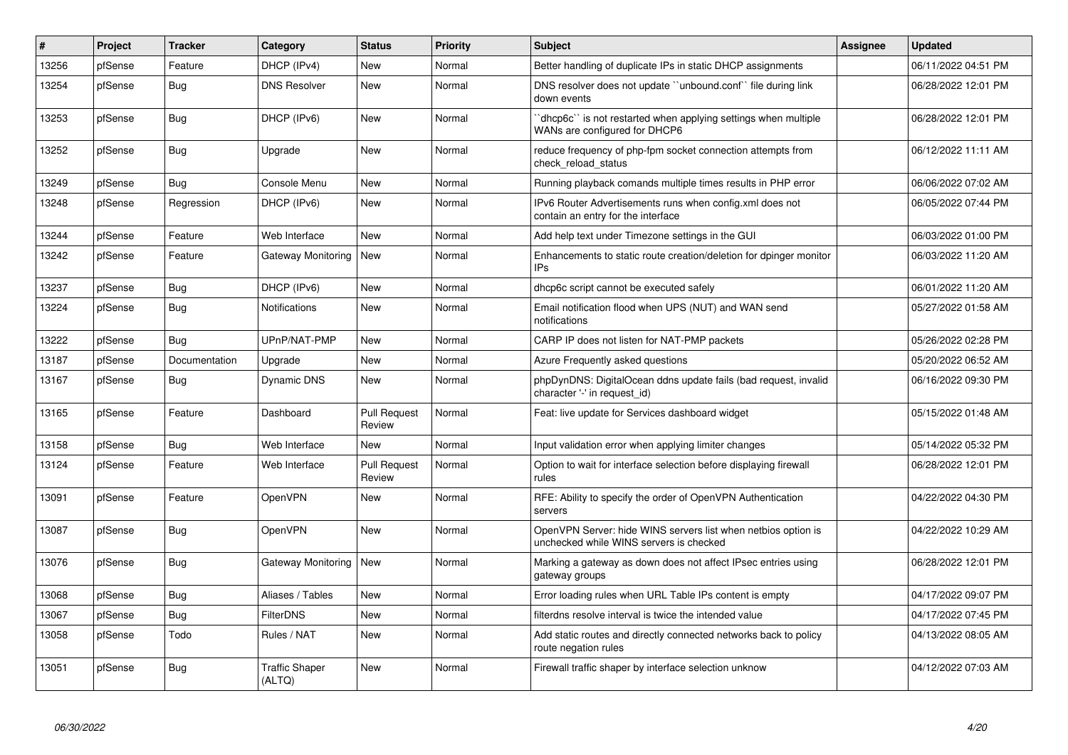| #     | Project | <b>Tracker</b> | Category                        | <b>Status</b>                 | Priority | <b>Subject</b>                                                                                           | <b>Assignee</b> | <b>Updated</b>      |
|-------|---------|----------------|---------------------------------|-------------------------------|----------|----------------------------------------------------------------------------------------------------------|-----------------|---------------------|
| 13256 | pfSense | Feature        | DHCP (IPv4)                     | <b>New</b>                    | Normal   | Better handling of duplicate IPs in static DHCP assignments                                              |                 | 06/11/2022 04:51 PM |
| 13254 | pfSense | Bug            | <b>DNS Resolver</b>             | <b>New</b>                    | Normal   | DNS resolver does not update "unbound.conf" file during link<br>down events                              |                 | 06/28/2022 12:01 PM |
| 13253 | pfSense | Bug            | DHCP (IPv6)                     | <b>New</b>                    | Normal   | 'dhcp6c' is not restarted when applying settings when multiple<br>WANs are configured for DHCP6          |                 | 06/28/2022 12:01 PM |
| 13252 | pfSense | <b>Bug</b>     | Upgrade                         | New                           | Normal   | reduce frequency of php-fpm socket connection attempts from<br>check reload status                       |                 | 06/12/2022 11:11 AM |
| 13249 | pfSense | <b>Bug</b>     | Console Menu                    | New                           | Normal   | Running playback comands multiple times results in PHP error                                             |                 | 06/06/2022 07:02 AM |
| 13248 | pfSense | Regression     | DHCP (IPv6)                     | <b>New</b>                    | Normal   | IPv6 Router Advertisements runs when config.xml does not<br>contain an entry for the interface           |                 | 06/05/2022 07:44 PM |
| 13244 | pfSense | Feature        | Web Interface                   | New                           | Normal   | Add help text under Timezone settings in the GUI                                                         |                 | 06/03/2022 01:00 PM |
| 13242 | pfSense | Feature        | Gateway Monitoring              | New                           | Normal   | Enhancements to static route creation/deletion for dpinger monitor<br>IP <sub>s</sub>                    |                 | 06/03/2022 11:20 AM |
| 13237 | pfSense | <b>Bug</b>     | DHCP (IPv6)                     | New                           | Normal   | dhcp6c script cannot be executed safely                                                                  |                 | 06/01/2022 11:20 AM |
| 13224 | pfSense | Bug            | Notifications                   | New                           | Normal   | Email notification flood when UPS (NUT) and WAN send<br>notifications                                    |                 | 05/27/2022 01:58 AM |
| 13222 | pfSense | Bug            | UPnP/NAT-PMP                    | <b>New</b>                    | Normal   | CARP IP does not listen for NAT-PMP packets                                                              |                 | 05/26/2022 02:28 PM |
| 13187 | pfSense | Documentation  | Upgrade                         | New                           | Normal   | Azure Frequently asked questions                                                                         |                 | 05/20/2022 06:52 AM |
| 13167 | pfSense | <b>Bug</b>     | Dynamic DNS                     | <b>New</b>                    | Normal   | phpDynDNS: DigitalOcean ddns update fails (bad request, invalid<br>character '-' in request id)          |                 | 06/16/2022 09:30 PM |
| 13165 | pfSense | Feature        | Dashboard                       | <b>Pull Request</b><br>Review | Normal   | Feat: live update for Services dashboard widget                                                          |                 | 05/15/2022 01:48 AM |
| 13158 | pfSense | <b>Bug</b>     | Web Interface                   | <b>New</b>                    | Normal   | Input validation error when applying limiter changes                                                     |                 | 05/14/2022 05:32 PM |
| 13124 | pfSense | Feature        | Web Interface                   | <b>Pull Request</b><br>Review | Normal   | Option to wait for interface selection before displaying firewall<br>rules                               |                 | 06/28/2022 12:01 PM |
| 13091 | pfSense | Feature        | OpenVPN                         | <b>New</b>                    | Normal   | RFE: Ability to specify the order of OpenVPN Authentication<br>servers                                   |                 | 04/22/2022 04:30 PM |
| 13087 | pfSense | Bug            | OpenVPN                         | <b>New</b>                    | Normal   | OpenVPN Server: hide WINS servers list when netbios option is<br>unchecked while WINS servers is checked |                 | 04/22/2022 10:29 AM |
| 13076 | pfSense | <b>Bug</b>     | Gateway Monitoring              | <b>New</b>                    | Normal   | Marking a gateway as down does not affect IPsec entries using<br>gateway groups                          |                 | 06/28/2022 12:01 PM |
| 13068 | pfSense | Bug            | Aliases / Tables                | <b>New</b>                    | Normal   | Error loading rules when URL Table IPs content is empty                                                  |                 | 04/17/2022 09:07 PM |
| 13067 | pfSense | <b>Bug</b>     | <b>FilterDNS</b>                | New                           | Normal   | filterdns resolve interval is twice the intended value                                                   |                 | 04/17/2022 07:45 PM |
| 13058 | pfSense | Todo           | Rules / NAT                     | <b>New</b>                    | Normal   | Add static routes and directly connected networks back to policy<br>route negation rules                 |                 | 04/13/2022 08:05 AM |
| 13051 | pfSense | <b>Bug</b>     | <b>Traffic Shaper</b><br>(ALTQ) | <b>New</b>                    | Normal   | Firewall traffic shaper by interface selection unknow                                                    |                 | 04/12/2022 07:03 AM |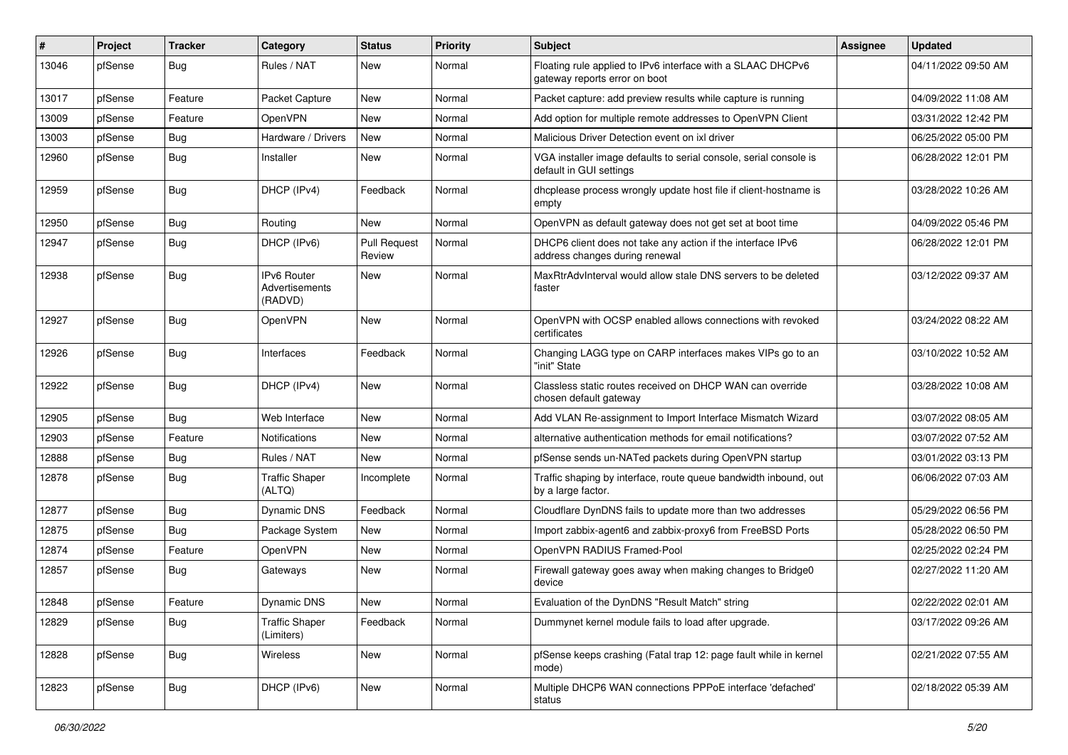| ∦     | Project | <b>Tracker</b> | Category                                        | <b>Status</b>                 | <b>Priority</b> | Subject                                                                                       | <b>Assignee</b> | <b>Updated</b>      |
|-------|---------|----------------|-------------------------------------------------|-------------------------------|-----------------|-----------------------------------------------------------------------------------------------|-----------------|---------------------|
| 13046 | pfSense | <b>Bug</b>     | Rules / NAT                                     | New                           | Normal          | Floating rule applied to IPv6 interface with a SLAAC DHCPv6<br>gateway reports error on boot  |                 | 04/11/2022 09:50 AM |
| 13017 | pfSense | Feature        | Packet Capture                                  | <b>New</b>                    | Normal          | Packet capture: add preview results while capture is running                                  |                 | 04/09/2022 11:08 AM |
| 13009 | pfSense | Feature        | OpenVPN                                         | <b>New</b>                    | Normal          | Add option for multiple remote addresses to OpenVPN Client                                    |                 | 03/31/2022 12:42 PM |
| 13003 | pfSense | <b>Bug</b>     | Hardware / Drivers                              | <b>New</b>                    | Normal          | Malicious Driver Detection event on ixl driver                                                |                 | 06/25/2022 05:00 PM |
| 12960 | pfSense | Bug            | Installer                                       | <b>New</b>                    | Normal          | VGA installer image defaults to serial console, serial console is<br>default in GUI settings  |                 | 06/28/2022 12:01 PM |
| 12959 | pfSense | Bug            | DHCP (IPv4)                                     | Feedback                      | Normal          | dhcplease process wrongly update host file if client-hostname is<br>empty                     |                 | 03/28/2022 10:26 AM |
| 12950 | pfSense | Bug            | Routing                                         | <b>New</b>                    | Normal          | OpenVPN as default gateway does not get set at boot time                                      |                 | 04/09/2022 05:46 PM |
| 12947 | pfSense | Bug            | DHCP (IPv6)                                     | <b>Pull Request</b><br>Review | Normal          | DHCP6 client does not take any action if the interface IPv6<br>address changes during renewal |                 | 06/28/2022 12:01 PM |
| 12938 | pfSense | <b>Bug</b>     | <b>IPv6 Router</b><br>Advertisements<br>(RADVD) | <b>New</b>                    | Normal          | MaxRtrAdvInterval would allow stale DNS servers to be deleted<br>faster                       |                 | 03/12/2022 09:37 AM |
| 12927 | pfSense | <b>Bug</b>     | OpenVPN                                         | <b>New</b>                    | Normal          | OpenVPN with OCSP enabled allows connections with revoked<br>certificates                     |                 | 03/24/2022 08:22 AM |
| 12926 | pfSense | <b>Bug</b>     | Interfaces                                      | Feedback                      | Normal          | Changing LAGG type on CARP interfaces makes VIPs go to an<br>"init" State                     |                 | 03/10/2022 10:52 AM |
| 12922 | pfSense | <b>Bug</b>     | DHCP (IPv4)                                     | <b>New</b>                    | Normal          | Classless static routes received on DHCP WAN can override<br>chosen default gateway           |                 | 03/28/2022 10:08 AM |
| 12905 | pfSense | Bug            | Web Interface                                   | <b>New</b>                    | Normal          | Add VLAN Re-assignment to Import Interface Mismatch Wizard                                    |                 | 03/07/2022 08:05 AM |
| 12903 | pfSense | Feature        | Notifications                                   | New                           | Normal          | alternative authentication methods for email notifications?                                   |                 | 03/07/2022 07:52 AM |
| 12888 | pfSense | <b>Bug</b>     | Rules / NAT                                     | <b>New</b>                    | Normal          | pfSense sends un-NATed packets during OpenVPN startup                                         |                 | 03/01/2022 03:13 PM |
| 12878 | pfSense | <b>Bug</b>     | <b>Traffic Shaper</b><br>(ALTQ)                 | Incomplete                    | Normal          | Traffic shaping by interface, route queue bandwidth inbound, out<br>by a large factor.        |                 | 06/06/2022 07:03 AM |
| 12877 | pfSense | Bug            | <b>Dynamic DNS</b>                              | Feedback                      | Normal          | Cloudflare DynDNS fails to update more than two addresses                                     |                 | 05/29/2022 06:56 PM |
| 12875 | pfSense | <b>Bug</b>     | Package System                                  | <b>New</b>                    | Normal          | Import zabbix-agent6 and zabbix-proxy6 from FreeBSD Ports                                     |                 | 05/28/2022 06:50 PM |
| 12874 | pfSense | Feature        | OpenVPN                                         | <b>New</b>                    | Normal          | OpenVPN RADIUS Framed-Pool                                                                    |                 | 02/25/2022 02:24 PM |
| 12857 | pfSense | <b>Bug</b>     | Gateways                                        | New                           | Normal          | Firewall gateway goes away when making changes to Bridge0<br>device                           |                 | 02/27/2022 11:20 AM |
| 12848 | pfSense | Feature        | Dynamic DNS                                     | New                           | Normal          | Evaluation of the DynDNS "Result Match" string                                                |                 | 02/22/2022 02:01 AM |
| 12829 | pfSense | Bug            | <b>Traffic Shaper</b><br>(Limiters)             | Feedback                      | Normal          | Dummynet kernel module fails to load after upgrade.                                           |                 | 03/17/2022 09:26 AM |
| 12828 | pfSense | Bug            | Wireless                                        | New                           | Normal          | pfSense keeps crashing (Fatal trap 12: page fault while in kernel<br>mode)                    |                 | 02/21/2022 07:55 AM |
| 12823 | pfSense | <b>Bug</b>     | DHCP (IPv6)                                     | New                           | Normal          | Multiple DHCP6 WAN connections PPPoE interface 'defached'<br>status                           |                 | 02/18/2022 05:39 AM |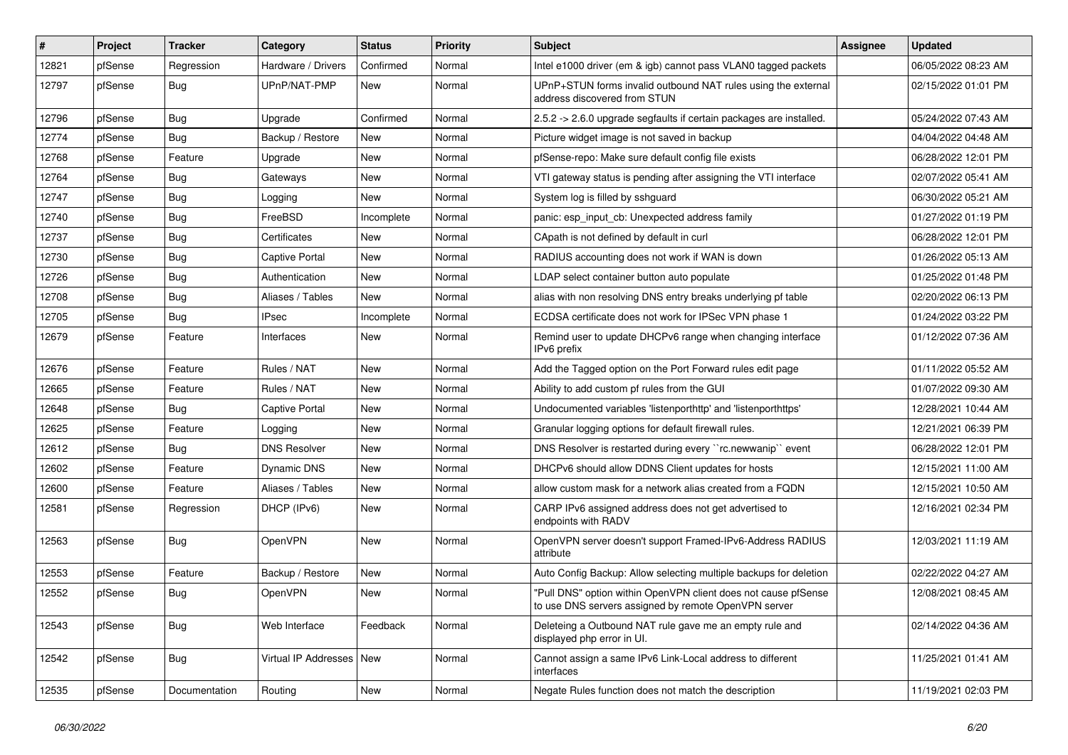| #     | Project | <b>Tracker</b> | Category                   | <b>Status</b> | <b>Priority</b> | Subject                                                                                                                | <b>Assignee</b> | <b>Updated</b>      |
|-------|---------|----------------|----------------------------|---------------|-----------------|------------------------------------------------------------------------------------------------------------------------|-----------------|---------------------|
| 12821 | pfSense | Regression     | Hardware / Drivers         | Confirmed     | Normal          | Intel e1000 driver (em & igb) cannot pass VLAN0 tagged packets                                                         |                 | 06/05/2022 08:23 AM |
| 12797 | pfSense | <b>Bug</b>     | UPnP/NAT-PMP               | <b>New</b>    | Normal          | UPnP+STUN forms invalid outbound NAT rules using the external<br>address discovered from STUN                          |                 | 02/15/2022 01:01 PM |
| 12796 | pfSense | Bug            | Upgrade                    | Confirmed     | Normal          | 2.5.2 -> 2.6.0 upgrade segfaults if certain packages are installed.                                                    |                 | 05/24/2022 07:43 AM |
| 12774 | pfSense | <b>Bug</b>     | Backup / Restore           | <b>New</b>    | Normal          | Picture widget image is not saved in backup                                                                            |                 | 04/04/2022 04:48 AM |
| 12768 | pfSense | Feature        | Upgrade                    | <b>New</b>    | Normal          | pfSense-repo: Make sure default config file exists                                                                     |                 | 06/28/2022 12:01 PM |
| 12764 | pfSense | <b>Bug</b>     | Gateways                   | New           | Normal          | VTI gateway status is pending after assigning the VTI interface                                                        |                 | 02/07/2022 05:41 AM |
| 12747 | pfSense | <b>Bug</b>     | Logging                    | <b>New</b>    | Normal          | System log is filled by sshguard                                                                                       |                 | 06/30/2022 05:21 AM |
| 12740 | pfSense | <b>Bug</b>     | FreeBSD                    | Incomplete    | Normal          | panic: esp input cb: Unexpected address family                                                                         |                 | 01/27/2022 01:19 PM |
| 12737 | pfSense | <b>Bug</b>     | Certificates               | <b>New</b>    | Normal          | CApath is not defined by default in curl                                                                               |                 | 06/28/2022 12:01 PM |
| 12730 | pfSense | <b>Bug</b>     | Captive Portal             | New           | Normal          | RADIUS accounting does not work if WAN is down                                                                         |                 | 01/26/2022 05:13 AM |
| 12726 | pfSense | <b>Bug</b>     | Authentication             | <b>New</b>    | Normal          | LDAP select container button auto populate                                                                             |                 | 01/25/2022 01:48 PM |
| 12708 | pfSense | Bug            | Aliases / Tables           | <b>New</b>    | Normal          | alias with non resolving DNS entry breaks underlying pf table                                                          |                 | 02/20/2022 06:13 PM |
| 12705 | pfSense | <b>Bug</b>     | <b>IPsec</b>               | Incomplete    | Normal          | ECDSA certificate does not work for IPSec VPN phase 1                                                                  |                 | 01/24/2022 03:22 PM |
| 12679 | pfSense | Feature        | Interfaces                 | <b>New</b>    | Normal          | Remind user to update DHCPv6 range when changing interface<br>IPv6 prefix                                              |                 | 01/12/2022 07:36 AM |
| 12676 | pfSense | Feature        | Rules / NAT                | <b>New</b>    | Normal          | Add the Tagged option on the Port Forward rules edit page                                                              |                 | 01/11/2022 05:52 AM |
| 12665 | pfSense | Feature        | Rules / NAT                | <b>New</b>    | Normal          | Ability to add custom pf rules from the GUI                                                                            |                 | 01/07/2022 09:30 AM |
| 12648 | pfSense | <b>Bug</b>     | Captive Portal             | New           | Normal          | Undocumented variables 'listenporthttp' and 'listenporthttps'                                                          |                 | 12/28/2021 10:44 AM |
| 12625 | pfSense | Feature        | Logging                    | New           | Normal          | Granular logging options for default firewall rules.                                                                   |                 | 12/21/2021 06:39 PM |
| 12612 | pfSense | <b>Bug</b>     | <b>DNS Resolver</b>        | <b>New</b>    | Normal          | DNS Resolver is restarted during every "rc.newwanip" event                                                             |                 | 06/28/2022 12:01 PM |
| 12602 | pfSense | Feature        | <b>Dynamic DNS</b>         | New           | Normal          | DHCPv6 should allow DDNS Client updates for hosts                                                                      |                 | 12/15/2021 11:00 AM |
| 12600 | pfSense | Feature        | Aliases / Tables           | <b>New</b>    | Normal          | allow custom mask for a network alias created from a FQDN                                                              |                 | 12/15/2021 10:50 AM |
| 12581 | pfSense | Regression     | DHCP (IPv6)                | New           | Normal          | CARP IPv6 assigned address does not get advertised to<br>endpoints with RADV                                           |                 | 12/16/2021 02:34 PM |
| 12563 | pfSense | <b>Bug</b>     | OpenVPN                    | New           | Normal          | OpenVPN server doesn't support Framed-IPv6-Address RADIUS<br>attribute                                                 |                 | 12/03/2021 11:19 AM |
| 12553 | pfSense | Feature        | Backup / Restore           | <b>New</b>    | Normal          | Auto Config Backup: Allow selecting multiple backups for deletion                                                      |                 | 02/22/2022 04:27 AM |
| 12552 | pfSense | Bug            | OpenVPN                    | <b>New</b>    | Normal          | "Pull DNS" option within OpenVPN client does not cause pfSense<br>to use DNS servers assigned by remote OpenVPN server |                 | 12/08/2021 08:45 AM |
| 12543 | pfSense | Bug            | Web Interface              | Feedback      | Normal          | Deleteing a Outbound NAT rule gave me an empty rule and<br>displayed php error in UI.                                  |                 | 02/14/2022 04:36 AM |
| 12542 | pfSense | Bug            | Virtual IP Addresses   New |               | Normal          | Cannot assign a same IPv6 Link-Local address to different<br>interfaces                                                |                 | 11/25/2021 01:41 AM |
| 12535 | pfSense | Documentation  | Routing                    | New           | Normal          | Negate Rules function does not match the description                                                                   |                 | 11/19/2021 02:03 PM |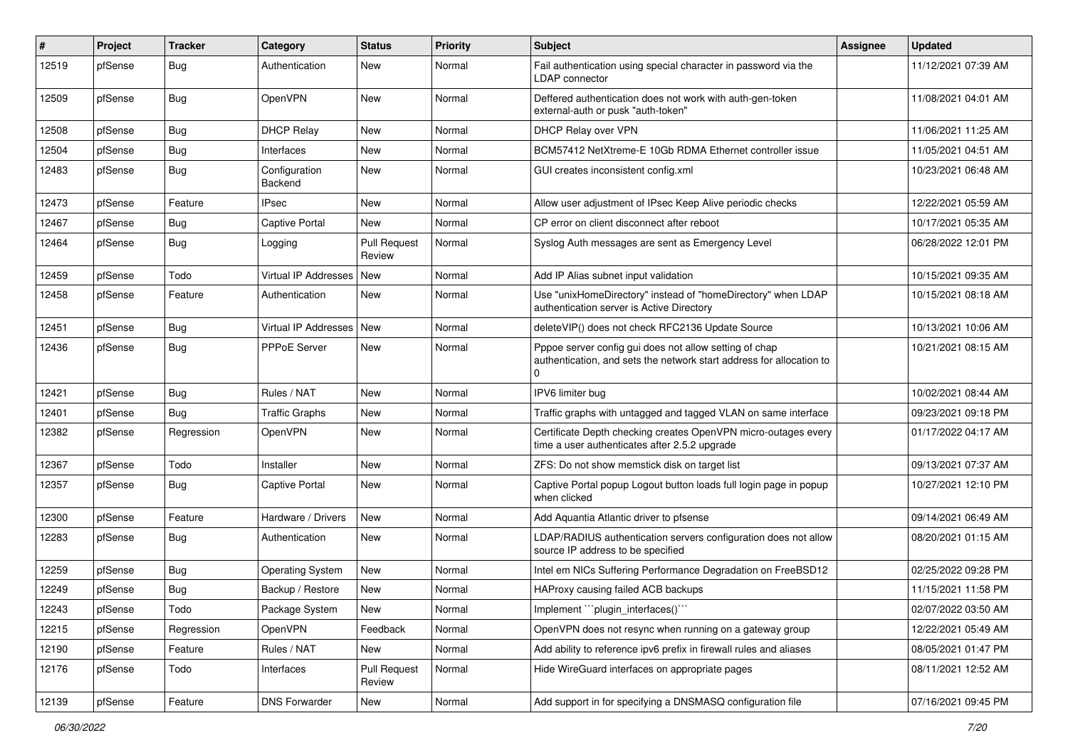| ∦     | Project | <b>Tracker</b> | Category                 | <b>Status</b>                 | <b>Priority</b> | Subject                                                                                                                                    | <b>Assignee</b> | <b>Updated</b>      |
|-------|---------|----------------|--------------------------|-------------------------------|-----------------|--------------------------------------------------------------------------------------------------------------------------------------------|-----------------|---------------------|
| 12519 | pfSense | Bug            | Authentication           | New                           | Normal          | Fail authentication using special character in password via the<br><b>LDAP</b> connector                                                   |                 | 11/12/2021 07:39 AM |
| 12509 | pfSense | Bug            | OpenVPN                  | <b>New</b>                    | Normal          | Deffered authentication does not work with auth-gen-token<br>external-auth or pusk "auth-token"                                            |                 | 11/08/2021 04:01 AM |
| 12508 | pfSense | Bug            | <b>DHCP Relay</b>        | <b>New</b>                    | Normal          | DHCP Relay over VPN                                                                                                                        |                 | 11/06/2021 11:25 AM |
| 12504 | pfSense | Bug            | Interfaces               | <b>New</b>                    | Normal          | BCM57412 NetXtreme-E 10Gb RDMA Ethernet controller issue                                                                                   |                 | 11/05/2021 04:51 AM |
| 12483 | pfSense | <b>Bug</b>     | Configuration<br>Backend | New                           | Normal          | GUI creates inconsistent config.xml                                                                                                        |                 | 10/23/2021 06:48 AM |
| 12473 | pfSense | Feature        | <b>IPsec</b>             | <b>New</b>                    | Normal          | Allow user adjustment of IPsec Keep Alive periodic checks                                                                                  |                 | 12/22/2021 05:59 AM |
| 12467 | pfSense | <b>Bug</b>     | Captive Portal           | <b>New</b>                    | Normal          | CP error on client disconnect after reboot                                                                                                 |                 | 10/17/2021 05:35 AM |
| 12464 | pfSense | Bug            | Logging                  | <b>Pull Request</b><br>Review | Normal          | Syslog Auth messages are sent as Emergency Level                                                                                           |                 | 06/28/2022 12:01 PM |
| 12459 | pfSense | Todo           | Virtual IP Addresses     | <b>New</b>                    | Normal          | Add IP Alias subnet input validation                                                                                                       |                 | 10/15/2021 09:35 AM |
| 12458 | pfSense | Feature        | Authentication           | <b>New</b>                    | Normal          | Use "unixHomeDirectory" instead of "homeDirectory" when LDAP<br>authentication server is Active Directory                                  |                 | 10/15/2021 08:18 AM |
| 12451 | pfSense | Bug            | Virtual IP Addresses     | <b>New</b>                    | Normal          | deleteVIP() does not check RFC2136 Update Source                                                                                           |                 | 10/13/2021 10:06 AM |
| 12436 | pfSense | <b>Bug</b>     | PPPoE Server             | New                           | Normal          | Pppoe server config gui does not allow setting of chap<br>authentication, and sets the network start address for allocation to<br>$\Omega$ |                 | 10/21/2021 08:15 AM |
| 12421 | pfSense | Bug            | Rules / NAT              | <b>New</b>                    | Normal          | IPV6 limiter bug                                                                                                                           |                 | 10/02/2021 08:44 AM |
| 12401 | pfSense | <b>Bug</b>     | <b>Traffic Graphs</b>    | <b>New</b>                    | Normal          | Traffic graphs with untagged and tagged VLAN on same interface                                                                             |                 | 09/23/2021 09:18 PM |
| 12382 | pfSense | Regression     | OpenVPN                  | New                           | Normal          | Certificate Depth checking creates OpenVPN micro-outages every<br>time a user authenticates after 2.5.2 upgrade                            |                 | 01/17/2022 04:17 AM |
| 12367 | pfSense | Todo           | Installer                | <b>New</b>                    | Normal          | ZFS: Do not show memstick disk on target list                                                                                              |                 | 09/13/2021 07:37 AM |
| 12357 | pfSense | Bug            | Captive Portal           | <b>New</b>                    | Normal          | Captive Portal popup Logout button loads full login page in popup<br>when clicked                                                          |                 | 10/27/2021 12:10 PM |
| 12300 | pfSense | Feature        | Hardware / Drivers       | <b>New</b>                    | Normal          | Add Aquantia Atlantic driver to pfsense                                                                                                    |                 | 09/14/2021 06:49 AM |
| 12283 | pfSense | <b>Bug</b>     | Authentication           | New                           | Normal          | LDAP/RADIUS authentication servers configuration does not allow<br>source IP address to be specified                                       |                 | 08/20/2021 01:15 AM |
| 12259 | pfSense | <b>Bug</b>     | <b>Operating System</b>  | New                           | Normal          | Intel em NICs Suffering Performance Degradation on FreeBSD12                                                                               |                 | 02/25/2022 09:28 PM |
| 12249 | pfSense | Bug            | Backup / Restore         | <b>New</b>                    | Normal          | HAProxy causing failed ACB backups                                                                                                         |                 | 11/15/2021 11:58 PM |
| 12243 | pfSense | Todo           | Package System           | New                           | Normal          | Implement "``plugin_interfaces()``                                                                                                         |                 | 02/07/2022 03:50 AM |
| 12215 | pfSense | Regression     | OpenVPN                  | Feedback                      | Normal          | OpenVPN does not resync when running on a gateway group                                                                                    |                 | 12/22/2021 05:49 AM |
| 12190 | pfSense | Feature        | Rules / NAT              | New                           | Normal          | Add ability to reference ipv6 prefix in firewall rules and aliases                                                                         |                 | 08/05/2021 01:47 PM |
| 12176 | pfSense | Todo           | Interfaces               | <b>Pull Request</b><br>Review | Normal          | Hide WireGuard interfaces on appropriate pages                                                                                             |                 | 08/11/2021 12:52 AM |
| 12139 | pfSense | Feature        | <b>DNS Forwarder</b>     | New                           | Normal          | Add support in for specifying a DNSMASQ configuration file                                                                                 |                 | 07/16/2021 09:45 PM |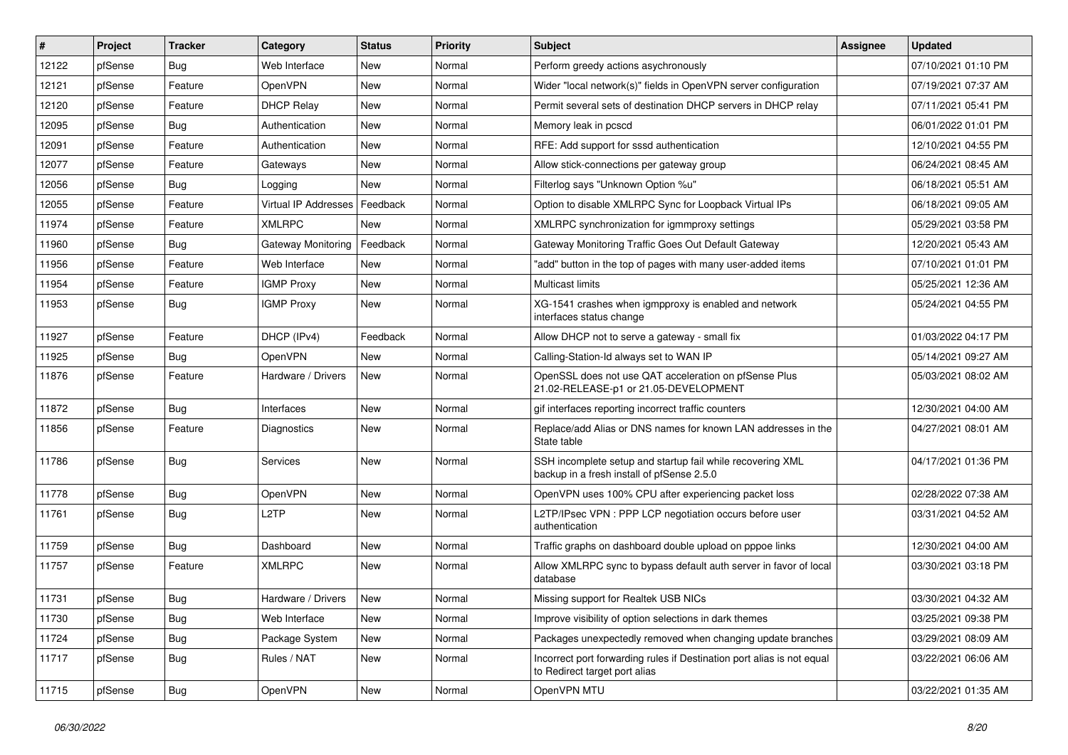| #     | Project | <b>Tracker</b> | Category                    | <b>Status</b> | <b>Priority</b> | Subject                                                                                                  | <b>Assignee</b> | <b>Updated</b>      |
|-------|---------|----------------|-----------------------------|---------------|-----------------|----------------------------------------------------------------------------------------------------------|-----------------|---------------------|
| 12122 | pfSense | Bug            | Web Interface               | New           | Normal          | Perform greedy actions asychronously                                                                     |                 | 07/10/2021 01:10 PM |
| 12121 | pfSense | Feature        | OpenVPN                     | New           | Normal          | Wider "local network(s)" fields in OpenVPN server configuration                                          |                 | 07/19/2021 07:37 AM |
| 12120 | pfSense | Feature        | <b>DHCP Relay</b>           | <b>New</b>    | Normal          | Permit several sets of destination DHCP servers in DHCP relay                                            |                 | 07/11/2021 05:41 PM |
| 12095 | pfSense | <b>Bug</b>     | Authentication              | <b>New</b>    | Normal          | Memory leak in pcscd                                                                                     |                 | 06/01/2022 01:01 PM |
| 12091 | pfSense | Feature        | Authentication              | <b>New</b>    | Normal          | RFE: Add support for sssd authentication                                                                 |                 | 12/10/2021 04:55 PM |
| 12077 | pfSense | Feature        | Gateways                    | New           | Normal          | Allow stick-connections per gateway group                                                                |                 | 06/24/2021 08:45 AM |
| 12056 | pfSense | <b>Bug</b>     | Logging                     | New           | Normal          | Filterlog says "Unknown Option %u"                                                                       |                 | 06/18/2021 05:51 AM |
| 12055 | pfSense | Feature        | <b>Virtual IP Addresses</b> | Feedback      | Normal          | Option to disable XMLRPC Sync for Loopback Virtual IPs                                                   |                 | 06/18/2021 09:05 AM |
| 11974 | pfSense | Feature        | XMLRPC                      | New           | Normal          | XMLRPC synchronization for igmmproxy settings                                                            |                 | 05/29/2021 03:58 PM |
| 11960 | pfSense | <b>Bug</b>     | Gateway Monitoring          | Feedback      | Normal          | Gateway Monitoring Traffic Goes Out Default Gateway                                                      |                 | 12/20/2021 05:43 AM |
| 11956 | pfSense | Feature        | Web Interface               | New           | Normal          | "add" button in the top of pages with many user-added items                                              |                 | 07/10/2021 01:01 PM |
| 11954 | pfSense | Feature        | <b>IGMP Proxy</b>           | <b>New</b>    | Normal          | <b>Multicast limits</b>                                                                                  |                 | 05/25/2021 12:36 AM |
| 11953 | pfSense | <b>Bug</b>     | <b>IGMP Proxy</b>           | <b>New</b>    | Normal          | XG-1541 crashes when igmpproxy is enabled and network<br>interfaces status change                        |                 | 05/24/2021 04:55 PM |
| 11927 | pfSense | Feature        | DHCP (IPv4)                 | Feedback      | Normal          | Allow DHCP not to serve a gateway - small fix                                                            |                 | 01/03/2022 04:17 PM |
| 11925 | pfSense | <b>Bug</b>     | OpenVPN                     | <b>New</b>    | Normal          | Calling-Station-Id always set to WAN IP                                                                  |                 | 05/14/2021 09:27 AM |
| 11876 | pfSense | Feature        | Hardware / Drivers          | New           | Normal          | OpenSSL does not use QAT acceleration on pfSense Plus<br>21.02-RELEASE-p1 or 21.05-DEVELOPMENT           |                 | 05/03/2021 08:02 AM |
| 11872 | pfSense | Bug            | Interfaces                  | New           | Normal          | gif interfaces reporting incorrect traffic counters                                                      |                 | 12/30/2021 04:00 AM |
| 11856 | pfSense | Feature        | Diagnostics                 | <b>New</b>    | Normal          | Replace/add Alias or DNS names for known LAN addresses in the<br>State table                             |                 | 04/27/2021 08:01 AM |
| 11786 | pfSense | <b>Bug</b>     | Services                    | New           | Normal          | SSH incomplete setup and startup fail while recovering XML<br>backup in a fresh install of pfSense 2.5.0 |                 | 04/17/2021 01:36 PM |
| 11778 | pfSense | <b>Bug</b>     | OpenVPN                     | <b>New</b>    | Normal          | OpenVPN uses 100% CPU after experiencing packet loss                                                     |                 | 02/28/2022 07:38 AM |
| 11761 | pfSense | <b>Bug</b>     | L2TP                        | <b>New</b>    | Normal          | L2TP/IPsec VPN : PPP LCP negotiation occurs before user<br>authentication                                |                 | 03/31/2021 04:52 AM |
| 11759 | pfSense | Bug            | Dashboard                   | <b>New</b>    | Normal          | Traffic graphs on dashboard double upload on pppoe links                                                 |                 | 12/30/2021 04:00 AM |
| 11757 | pfSense | Feature        | <b>XMLRPC</b>               | <b>New</b>    | Normal          | Allow XMLRPC sync to bypass default auth server in favor of local<br>database                            |                 | 03/30/2021 03:18 PM |
| 11731 | pfSense | Bug            | Hardware / Drivers          | New           | Normal          | Missing support for Realtek USB NICs                                                                     |                 | 03/30/2021 04:32 AM |
| 11730 | pfSense | Bug            | Web Interface               | New           | Normal          | Improve visibility of option selections in dark themes                                                   |                 | 03/25/2021 09:38 PM |
| 11724 | pfSense | Bug            | Package System              | New           | Normal          | Packages unexpectedly removed when changing update branches                                              |                 | 03/29/2021 08:09 AM |
| 11717 | pfSense | <b>Bug</b>     | Rules / NAT                 | New           | Normal          | Incorrect port forwarding rules if Destination port alias is not equal<br>to Redirect target port alias  |                 | 03/22/2021 06:06 AM |
| 11715 | pfSense | <b>Bug</b>     | <b>OpenVPN</b>              | New           | Normal          | OpenVPN MTU                                                                                              |                 | 03/22/2021 01:35 AM |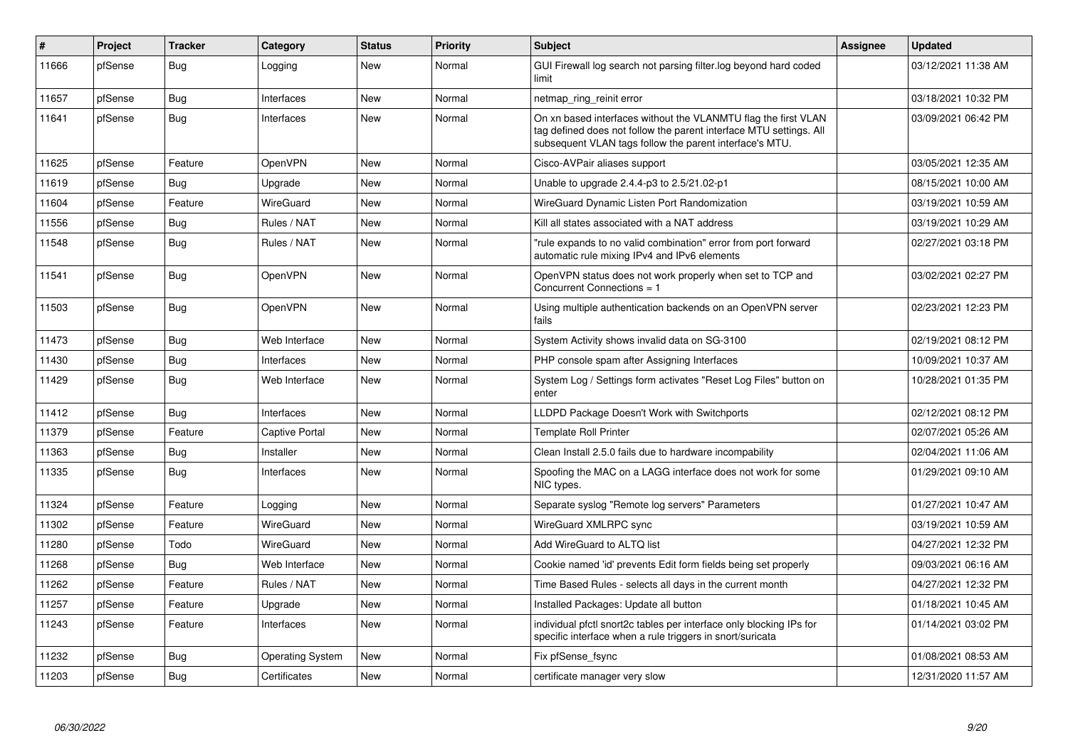| #     | Project | <b>Tracker</b> | Category                | <b>Status</b> | <b>Priority</b> | <b>Subject</b>                                                                                                                                                                                  | <b>Assignee</b> | <b>Updated</b>      |
|-------|---------|----------------|-------------------------|---------------|-----------------|-------------------------------------------------------------------------------------------------------------------------------------------------------------------------------------------------|-----------------|---------------------|
| 11666 | pfSense | <b>Bug</b>     | Logging                 | New           | Normal          | GUI Firewall log search not parsing filter.log beyond hard coded<br>limit                                                                                                                       |                 | 03/12/2021 11:38 AM |
| 11657 | pfSense | Bug            | Interfaces              | <b>New</b>    | Normal          | netmap ring reinit error                                                                                                                                                                        |                 | 03/18/2021 10:32 PM |
| 11641 | pfSense | Bug            | Interfaces              | New           | Normal          | On xn based interfaces without the VLANMTU flag the first VLAN<br>tag defined does not follow the parent interface MTU settings. All<br>subsequent VLAN tags follow the parent interface's MTU. |                 | 03/09/2021 06:42 PM |
| 11625 | pfSense | Feature        | OpenVPN                 | New           | Normal          | Cisco-AVPair aliases support                                                                                                                                                                    |                 | 03/05/2021 12:35 AM |
| 11619 | pfSense | <b>Bug</b>     | Upgrade                 | <b>New</b>    | Normal          | Unable to upgrade 2.4.4-p3 to 2.5/21.02-p1                                                                                                                                                      |                 | 08/15/2021 10:00 AM |
| 11604 | pfSense | Feature        | WireGuard               | <b>New</b>    | Normal          | WireGuard Dynamic Listen Port Randomization                                                                                                                                                     |                 | 03/19/2021 10:59 AM |
| 11556 | pfSense | Bug            | Rules / NAT             | <b>New</b>    | Normal          | Kill all states associated with a NAT address                                                                                                                                                   |                 | 03/19/2021 10:29 AM |
| 11548 | pfSense | <b>Bug</b>     | Rules / NAT             | <b>New</b>    | Normal          | "rule expands to no valid combination" error from port forward<br>automatic rule mixing IPv4 and IPv6 elements                                                                                  |                 | 02/27/2021 03:18 PM |
| 11541 | pfSense | Bug            | OpenVPN                 | <b>New</b>    | Normal          | OpenVPN status does not work properly when set to TCP and<br>Concurrent Connections = 1                                                                                                         |                 | 03/02/2021 02:27 PM |
| 11503 | pfSense | Bug            | OpenVPN                 | <b>New</b>    | Normal          | Using multiple authentication backends on an OpenVPN server<br>fails                                                                                                                            |                 | 02/23/2021 12:23 PM |
| 11473 | pfSense | Bug            | Web Interface           | <b>New</b>    | Normal          | System Activity shows invalid data on SG-3100                                                                                                                                                   |                 | 02/19/2021 08:12 PM |
| 11430 | pfSense | Bug            | Interfaces              | <b>New</b>    | Normal          | PHP console spam after Assigning Interfaces                                                                                                                                                     |                 | 10/09/2021 10:37 AM |
| 11429 | pfSense | <b>Bug</b>     | Web Interface           | <b>New</b>    | Normal          | System Log / Settings form activates "Reset Log Files" button on<br>enter                                                                                                                       |                 | 10/28/2021 01:35 PM |
| 11412 | pfSense | Bug            | Interfaces              | <b>New</b>    | Normal          | LLDPD Package Doesn't Work with Switchports                                                                                                                                                     |                 | 02/12/2021 08:12 PM |
| 11379 | pfSense | Feature        | <b>Captive Portal</b>   | <b>New</b>    | Normal          | <b>Template Roll Printer</b>                                                                                                                                                                    |                 | 02/07/2021 05:26 AM |
| 11363 | pfSense | Bug            | Installer               | <b>New</b>    | Normal          | Clean Install 2.5.0 fails due to hardware incompability                                                                                                                                         |                 | 02/04/2021 11:06 AM |
| 11335 | pfSense | <b>Bug</b>     | Interfaces              | <b>New</b>    | Normal          | Spoofing the MAC on a LAGG interface does not work for some<br>NIC types.                                                                                                                       |                 | 01/29/2021 09:10 AM |
| 11324 | pfSense | Feature        | Logging                 | <b>New</b>    | Normal          | Separate syslog "Remote log servers" Parameters                                                                                                                                                 |                 | 01/27/2021 10:47 AM |
| 11302 | pfSense | Feature        | WireGuard               | <b>New</b>    | Normal          | WireGuard XMLRPC sync                                                                                                                                                                           |                 | 03/19/2021 10:59 AM |
| 11280 | pfSense | Todo           | WireGuard               | <b>New</b>    | Normal          | Add WireGuard to ALTQ list                                                                                                                                                                      |                 | 04/27/2021 12:32 PM |
| 11268 | pfSense | Bug            | Web Interface           | <b>New</b>    | Normal          | Cookie named 'id' prevents Edit form fields being set properly                                                                                                                                  |                 | 09/03/2021 06:16 AM |
| 11262 | pfSense | Feature        | Rules / NAT             | <b>New</b>    | Normal          | Time Based Rules - selects all days in the current month                                                                                                                                        |                 | 04/27/2021 12:32 PM |
| 11257 | pfSense | Feature        | Upgrade                 | <b>New</b>    | Normal          | Installed Packages: Update all button                                                                                                                                                           |                 | 01/18/2021 10:45 AM |
| 11243 | pfSense | Feature        | Interfaces              | <b>New</b>    | Normal          | individual pfctl snort2c tables per interface only blocking IPs for<br>specific interface when a rule triggers in snort/suricata                                                                |                 | 01/14/2021 03:02 PM |
| 11232 | pfSense | Bug            | <b>Operating System</b> | <b>New</b>    | Normal          | Fix pfSense fsync                                                                                                                                                                               |                 | 01/08/2021 08:53 AM |
| 11203 | pfSense | <b>Bug</b>     | Certificates            | <b>New</b>    | Normal          | certificate manager very slow                                                                                                                                                                   |                 | 12/31/2020 11:57 AM |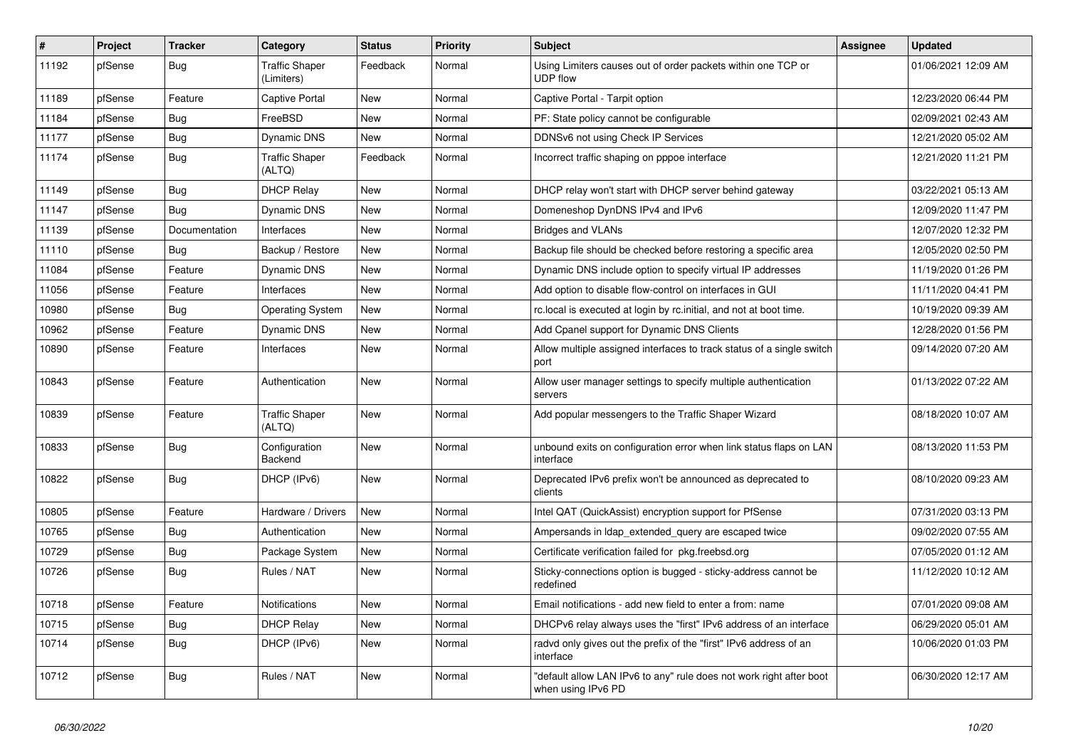| $\vert$ # | Project | <b>Tracker</b> | Category                            | <b>Status</b> | <b>Priority</b> | <b>Subject</b>                                                                            | <b>Assignee</b> | <b>Updated</b>      |
|-----------|---------|----------------|-------------------------------------|---------------|-----------------|-------------------------------------------------------------------------------------------|-----------------|---------------------|
| 11192     | pfSense | Bug            | <b>Traffic Shaper</b><br>(Limiters) | Feedback      | Normal          | Using Limiters causes out of order packets within one TCP or<br><b>UDP</b> flow           |                 | 01/06/2021 12:09 AM |
| 11189     | pfSense | Feature        | Captive Portal                      | New           | Normal          | Captive Portal - Tarpit option                                                            |                 | 12/23/2020 06:44 PM |
| 11184     | pfSense | Bug            | FreeBSD                             | New           | Normal          | PF: State policy cannot be configurable                                                   |                 | 02/09/2021 02:43 AM |
| 11177     | pfSense | <b>Bug</b>     | <b>Dynamic DNS</b>                  | New           | Normal          | DDNSv6 not using Check IP Services                                                        |                 | 12/21/2020 05:02 AM |
| 11174     | pfSense | <b>Bug</b>     | <b>Traffic Shaper</b><br>(ALTQ)     | Feedback      | Normal          | Incorrect traffic shaping on pppoe interface                                              |                 | 12/21/2020 11:21 PM |
| 11149     | pfSense | Bug            | <b>DHCP Relay</b>                   | <b>New</b>    | Normal          | DHCP relay won't start with DHCP server behind gateway                                    |                 | 03/22/2021 05:13 AM |
| 11147     | pfSense | <b>Bug</b>     | Dynamic DNS                         | <b>New</b>    | Normal          | Domeneshop DynDNS IPv4 and IPv6                                                           |                 | 12/09/2020 11:47 PM |
| 11139     | pfSense | Documentation  | Interfaces                          | <b>New</b>    | Normal          | <b>Bridges and VLANs</b>                                                                  |                 | 12/07/2020 12:32 PM |
| 11110     | pfSense | <b>Bug</b>     | Backup / Restore                    | <b>New</b>    | Normal          | Backup file should be checked before restoring a specific area                            |                 | 12/05/2020 02:50 PM |
| 11084     | pfSense | Feature        | Dynamic DNS                         | <b>New</b>    | Normal          | Dynamic DNS include option to specify virtual IP addresses                                |                 | 11/19/2020 01:26 PM |
| 11056     | pfSense | Feature        | Interfaces                          | <b>New</b>    | Normal          | Add option to disable flow-control on interfaces in GUI                                   |                 | 11/11/2020 04:41 PM |
| 10980     | pfSense | Bug            | <b>Operating System</b>             | <b>New</b>    | Normal          | rc.local is executed at login by rc.initial, and not at boot time.                        |                 | 10/19/2020 09:39 AM |
| 10962     | pfSense | Feature        | Dynamic DNS                         | <b>New</b>    | Normal          | Add Cpanel support for Dynamic DNS Clients                                                |                 | 12/28/2020 01:56 PM |
| 10890     | pfSense | Feature        | Interfaces                          | <b>New</b>    | Normal          | Allow multiple assigned interfaces to track status of a single switch<br>port             |                 | 09/14/2020 07:20 AM |
| 10843     | pfSense | Feature        | Authentication                      | New           | Normal          | Allow user manager settings to specify multiple authentication<br>servers                 |                 | 01/13/2022 07:22 AM |
| 10839     | pfSense | Feature        | <b>Traffic Shaper</b><br>(ALTQ)     | <b>New</b>    | Normal          | Add popular messengers to the Traffic Shaper Wizard                                       |                 | 08/18/2020 10:07 AM |
| 10833     | pfSense | Bug            | Configuration<br>Backend            | <b>New</b>    | Normal          | unbound exits on configuration error when link status flaps on LAN<br>interface           |                 | 08/13/2020 11:53 PM |
| 10822     | pfSense | <b>Bug</b>     | DHCP (IPv6)                         | <b>New</b>    | Normal          | Deprecated IPv6 prefix won't be announced as deprecated to<br>clients                     |                 | 08/10/2020 09:23 AM |
| 10805     | pfSense | Feature        | Hardware / Drivers                  | <b>New</b>    | Normal          | Intel QAT (QuickAssist) encryption support for PfSense                                    |                 | 07/31/2020 03:13 PM |
| 10765     | pfSense | Bug            | Authentication                      | New           | Normal          | Ampersands in Idap extended query are escaped twice                                       |                 | 09/02/2020 07:55 AM |
| 10729     | pfSense | <b>Bug</b>     | Package System                      | New           | Normal          | Certificate verification failed for pkg.freebsd.org                                       |                 | 07/05/2020 01:12 AM |
| 10726     | pfSense | Bug            | Rules / NAT                         | New           | Normal          | Sticky-connections option is bugged - sticky-address cannot be<br>redefined               |                 | 11/12/2020 10:12 AM |
| 10718     | pfSense | Feature        | <b>Notifications</b>                | <b>New</b>    | Normal          | Email notifications - add new field to enter a from: name                                 |                 | 07/01/2020 09:08 AM |
| 10715     | pfSense | Bug            | <b>DHCP Relay</b>                   | <b>New</b>    | Normal          | DHCPv6 relay always uses the "first" IPv6 address of an interface                         |                 | 06/29/2020 05:01 AM |
| 10714     | pfSense | <b>Bug</b>     | DHCP (IPv6)                         | <b>New</b>    | Normal          | radvd only gives out the prefix of the "first" IPv6 address of an<br>interface            |                 | 10/06/2020 01:03 PM |
| 10712     | pfSense | Bug            | Rules / NAT                         | <b>New</b>    | Normal          | "default allow LAN IPv6 to any" rule does not work right after boot<br>when using IPv6 PD |                 | 06/30/2020 12:17 AM |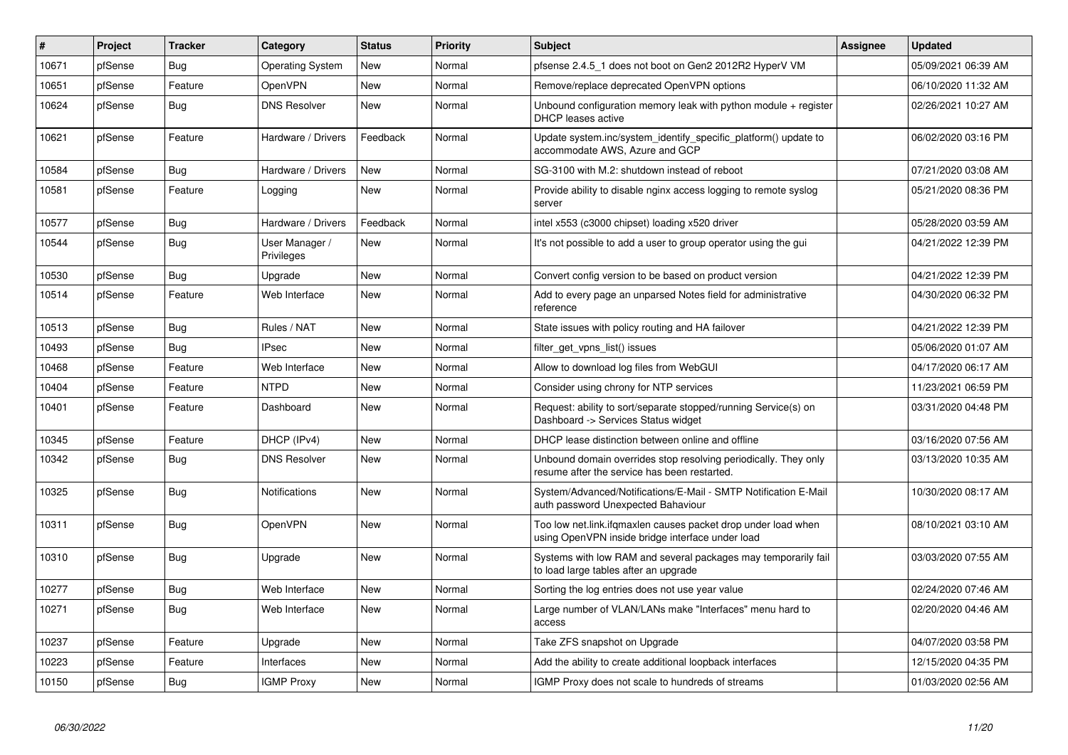| #     | Project | <b>Tracker</b> | Category                     | <b>Status</b> | Priority | <b>Subject</b>                                                                                                    | <b>Assignee</b> | <b>Updated</b>      |
|-------|---------|----------------|------------------------------|---------------|----------|-------------------------------------------------------------------------------------------------------------------|-----------------|---------------------|
| 10671 | pfSense | Bug            | Operating System             | New           | Normal   | pfsense 2.4.5 1 does not boot on Gen2 2012R2 HyperV VM                                                            |                 | 05/09/2021 06:39 AM |
| 10651 | pfSense | Feature        | <b>OpenVPN</b>               | <b>New</b>    | Normal   | Remove/replace deprecated OpenVPN options                                                                         |                 | 06/10/2020 11:32 AM |
| 10624 | pfSense | Bug            | <b>DNS Resolver</b>          | New           | Normal   | Unbound configuration memory leak with python module $+$ register<br><b>DHCP</b> leases active                    |                 | 02/26/2021 10:27 AM |
| 10621 | pfSense | Feature        | Hardware / Drivers           | Feedback      | Normal   | Update system.inc/system_identify_specific_platform() update to<br>accommodate AWS, Azure and GCP                 |                 | 06/02/2020 03:16 PM |
| 10584 | pfSense | <b>Bug</b>     | Hardware / Drivers           | <b>New</b>    | Normal   | SG-3100 with M.2: shutdown instead of reboot                                                                      |                 | 07/21/2020 03:08 AM |
| 10581 | pfSense | Feature        | Logging                      | <b>New</b>    | Normal   | Provide ability to disable nginx access logging to remote syslog<br>server                                        |                 | 05/21/2020 08:36 PM |
| 10577 | pfSense | <b>Bug</b>     | Hardware / Drivers           | Feedback      | Normal   | intel x553 (c3000 chipset) loading x520 driver                                                                    |                 | 05/28/2020 03:59 AM |
| 10544 | pfSense | <b>Bug</b>     | User Manager /<br>Privileges | <b>New</b>    | Normal   | It's not possible to add a user to group operator using the gui                                                   |                 | 04/21/2022 12:39 PM |
| 10530 | pfSense | Bug            | Upgrade                      | <b>New</b>    | Normal   | Convert config version to be based on product version                                                             |                 | 04/21/2022 12:39 PM |
| 10514 | pfSense | Feature        | Web Interface                | <b>New</b>    | Normal   | Add to every page an unparsed Notes field for administrative<br>reference                                         |                 | 04/30/2020 06:32 PM |
| 10513 | pfSense | Bug            | Rules / NAT                  | <b>New</b>    | Normal   | State issues with policy routing and HA failover                                                                  |                 | 04/21/2022 12:39 PM |
| 10493 | pfSense | Bug            | <b>IPsec</b>                 | <b>New</b>    | Normal   | filter get vpns list() issues                                                                                     |                 | 05/06/2020 01:07 AM |
| 10468 | pfSense | Feature        | Web Interface                | New           | Normal   | Allow to download log files from WebGUI                                                                           |                 | 04/17/2020 06:17 AM |
| 10404 | pfSense | Feature        | <b>NTPD</b>                  | <b>New</b>    | Normal   | Consider using chrony for NTP services                                                                            |                 | 11/23/2021 06:59 PM |
| 10401 | pfSense | Feature        | Dashboard                    | <b>New</b>    | Normal   | Request: ability to sort/separate stopped/running Service(s) on<br>Dashboard -> Services Status widget            |                 | 03/31/2020 04:48 PM |
| 10345 | pfSense | Feature        | DHCP (IPv4)                  | <b>New</b>    | Normal   | DHCP lease distinction between online and offline                                                                 |                 | 03/16/2020 07:56 AM |
| 10342 | pfSense | <b>Bug</b>     | <b>DNS Resolver</b>          | <b>New</b>    | Normal   | Unbound domain overrides stop resolving periodically. They only<br>resume after the service has been restarted.   |                 | 03/13/2020 10:35 AM |
| 10325 | pfSense | <b>Bug</b>     | Notifications                | New           | Normal   | System/Advanced/Notifications/E-Mail - SMTP Notification E-Mail<br>auth password Unexpected Bahaviour             |                 | 10/30/2020 08:17 AM |
| 10311 | pfSense | <b>Bug</b>     | OpenVPN                      | <b>New</b>    | Normal   | Too low net.link.ifqmaxlen causes packet drop under load when<br>using OpenVPN inside bridge interface under load |                 | 08/10/2021 03:10 AM |
| 10310 | pfSense | <b>Bug</b>     | Upgrade                      | <b>New</b>    | Normal   | Systems with low RAM and several packages may temporarily fail<br>to load large tables after an upgrade           |                 | 03/03/2020 07:55 AM |
| 10277 | pfSense | Bug            | Web Interface                | <b>New</b>    | Normal   | Sorting the log entries does not use year value                                                                   |                 | 02/24/2020 07:46 AM |
| 10271 | pfSense | Bug            | Web Interface                | <b>New</b>    | Normal   | Large number of VLAN/LANs make "Interfaces" menu hard to<br>access                                                |                 | 02/20/2020 04:46 AM |
| 10237 | pfSense | Feature        | Upgrade                      | <b>New</b>    | Normal   | Take ZFS snapshot on Upgrade                                                                                      |                 | 04/07/2020 03:58 PM |
| 10223 | pfSense | Feature        | Interfaces                   | New           | Normal   | Add the ability to create additional loopback interfaces                                                          |                 | 12/15/2020 04:35 PM |
| 10150 | pfSense | <b>Bug</b>     | <b>IGMP Proxy</b>            | New           | Normal   | IGMP Proxy does not scale to hundreds of streams                                                                  |                 | 01/03/2020 02:56 AM |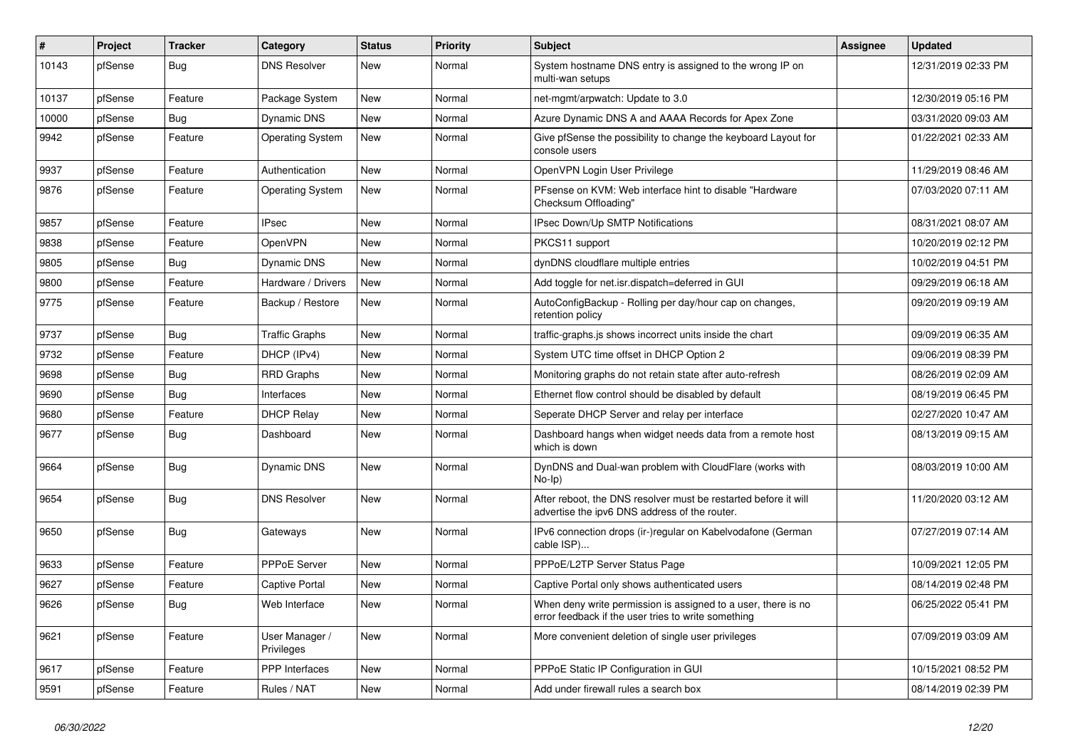| ∦     | Project | <b>Tracker</b> | Category                     | <b>Status</b> | <b>Priority</b> | <b>Subject</b>                                                                                                       | Assignee | <b>Updated</b>      |
|-------|---------|----------------|------------------------------|---------------|-----------------|----------------------------------------------------------------------------------------------------------------------|----------|---------------------|
| 10143 | pfSense | Bug            | <b>DNS Resolver</b>          | New           | Normal          | System hostname DNS entry is assigned to the wrong IP on<br>multi-wan setups                                         |          | 12/31/2019 02:33 PM |
| 10137 | pfSense | Feature        | Package System               | New           | Normal          | net-mgmt/arpwatch: Update to 3.0                                                                                     |          | 12/30/2019 05:16 PM |
| 10000 | pfSense | <b>Bug</b>     | Dynamic DNS                  | <b>New</b>    | Normal          | Azure Dynamic DNS A and AAAA Records for Apex Zone                                                                   |          | 03/31/2020 09:03 AM |
| 9942  | pfSense | Feature        | <b>Operating System</b>      | <b>New</b>    | Normal          | Give pfSense the possibility to change the keyboard Layout for<br>console users                                      |          | 01/22/2021 02:33 AM |
| 9937  | pfSense | Feature        | Authentication               | <b>New</b>    | Normal          | OpenVPN Login User Privilege                                                                                         |          | 11/29/2019 08:46 AM |
| 9876  | pfSense | Feature        | <b>Operating System</b>      | <b>New</b>    | Normal          | PFsense on KVM: Web interface hint to disable "Hardware"<br>Checksum Offloading"                                     |          | 07/03/2020 07:11 AM |
| 9857  | pfSense | Feature        | <b>IPsec</b>                 | <b>New</b>    | Normal          | IPsec Down/Up SMTP Notifications                                                                                     |          | 08/31/2021 08:07 AM |
| 9838  | pfSense | Feature        | OpenVPN                      | New           | Normal          | PKCS11 support                                                                                                       |          | 10/20/2019 02:12 PM |
| 9805  | pfSense | <b>Bug</b>     | Dynamic DNS                  | <b>New</b>    | Normal          | dynDNS cloudflare multiple entries                                                                                   |          | 10/02/2019 04:51 PM |
| 9800  | pfSense | Feature        | Hardware / Drivers           | <b>New</b>    | Normal          | Add toggle for net.isr.dispatch=deferred in GUI                                                                      |          | 09/29/2019 06:18 AM |
| 9775  | pfSense | Feature        | Backup / Restore             | <b>New</b>    | Normal          | AutoConfigBackup - Rolling per day/hour cap on changes,<br>retention policy                                          |          | 09/20/2019 09:19 AM |
| 9737  | pfSense | Bug            | <b>Traffic Graphs</b>        | <b>New</b>    | Normal          | traffic-graphs.js shows incorrect units inside the chart                                                             |          | 09/09/2019 06:35 AM |
| 9732  | pfSense | Feature        | DHCP (IPv4)                  | <b>New</b>    | Normal          | System UTC time offset in DHCP Option 2                                                                              |          | 09/06/2019 08:39 PM |
| 9698  | pfSense | <b>Bug</b>     | <b>RRD Graphs</b>            | <b>New</b>    | Normal          | Monitoring graphs do not retain state after auto-refresh                                                             |          | 08/26/2019 02:09 AM |
| 9690  | pfSense | Bug            | Interfaces                   | New           | Normal          | Ethernet flow control should be disabled by default                                                                  |          | 08/19/2019 06:45 PM |
| 9680  | pfSense | Feature        | <b>DHCP Relay</b>            | <b>New</b>    | Normal          | Seperate DHCP Server and relay per interface                                                                         |          | 02/27/2020 10:47 AM |
| 9677  | pfSense | Bug            | Dashboard                    | <b>New</b>    | Normal          | Dashboard hangs when widget needs data from a remote host<br>which is down                                           |          | 08/13/2019 09:15 AM |
| 9664  | pfSense | <b>Bug</b>     | Dynamic DNS                  | <b>New</b>    | Normal          | DynDNS and Dual-wan problem with CloudFlare (works with<br>$No-Ip)$                                                  |          | 08/03/2019 10:00 AM |
| 9654  | pfSense | Bug            | <b>DNS Resolver</b>          | <b>New</b>    | Normal          | After reboot, the DNS resolver must be restarted before it will<br>advertise the ipv6 DNS address of the router.     |          | 11/20/2020 03:12 AM |
| 9650  | pfSense | Bug            | Gateways                     | <b>New</b>    | Normal          | IPv6 connection drops (ir-)regular on Kabelvodafone (German<br>cable ISP)                                            |          | 07/27/2019 07:14 AM |
| 9633  | pfSense | Feature        | PPPoE Server                 | <b>New</b>    | Normal          | PPPoE/L2TP Server Status Page                                                                                        |          | 10/09/2021 12:05 PM |
| 9627  | pfSense | Feature        | Captive Portal               | New           | Normal          | Captive Portal only shows authenticated users                                                                        |          | 08/14/2019 02:48 PM |
| 9626  | pfSense | <b>Bug</b>     | Web Interface                | New           | Normal          | When deny write permission is assigned to a user, there is no<br>error feedback if the user tries to write something |          | 06/25/2022 05:41 PM |
| 9621  | pfSense | Feature        | User Manager /<br>Privileges | New           | Normal          | More convenient deletion of single user privileges                                                                   |          | 07/09/2019 03:09 AM |
| 9617  | pfSense | Feature        | PPP Interfaces               | New           | Normal          | PPPoE Static IP Configuration in GUI                                                                                 |          | 10/15/2021 08:52 PM |
| 9591  | pfSense | Feature        | Rules / NAT                  | New           | Normal          | Add under firewall rules a search box                                                                                |          | 08/14/2019 02:39 PM |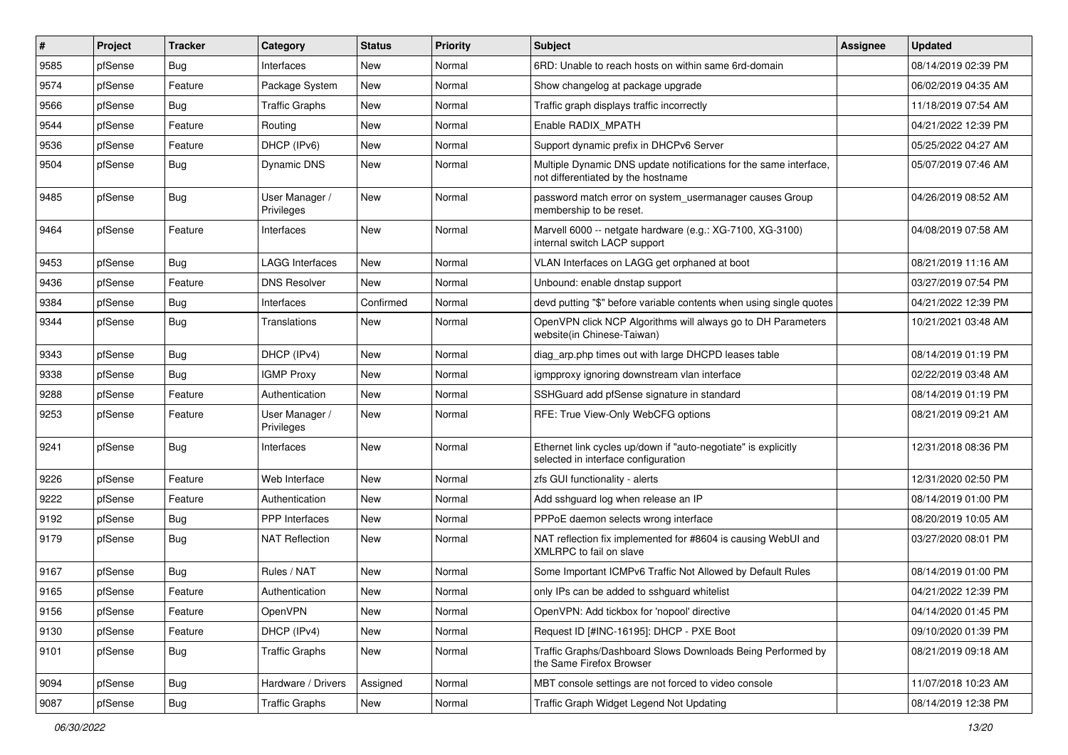| ∦    | Project | <b>Tracker</b> | Category                     | <b>Status</b> | <b>Priority</b> | <b>Subject</b>                                                                                          | <b>Assignee</b> | <b>Updated</b>      |
|------|---------|----------------|------------------------------|---------------|-----------------|---------------------------------------------------------------------------------------------------------|-----------------|---------------------|
| 9585 | pfSense | <b>Bug</b>     | Interfaces                   | New           | Normal          | 6RD: Unable to reach hosts on within same 6rd-domain                                                    |                 | 08/14/2019 02:39 PM |
| 9574 | pfSense | Feature        | Package System               | New           | Normal          | Show changelog at package upgrade                                                                       |                 | 06/02/2019 04:35 AM |
| 9566 | pfSense | <b>Bug</b>     | <b>Traffic Graphs</b>        | <b>New</b>    | Normal          | Traffic graph displays traffic incorrectly                                                              |                 | 11/18/2019 07:54 AM |
| 9544 | pfSense | Feature        | Routing                      | <b>New</b>    | Normal          | Enable RADIX MPATH                                                                                      |                 | 04/21/2022 12:39 PM |
| 9536 | pfSense | Feature        | DHCP (IPv6)                  | <b>New</b>    | Normal          | Support dynamic prefix in DHCPv6 Server                                                                 |                 | 05/25/2022 04:27 AM |
| 9504 | pfSense | <b>Bug</b>     | Dynamic DNS                  | New           | Normal          | Multiple Dynamic DNS update notifications for the same interface,<br>not differentiated by the hostname |                 | 05/07/2019 07:46 AM |
| 9485 | pfSense | Bug            | User Manager /<br>Privileges | <b>New</b>    | Normal          | password match error on system_usermanager causes Group<br>membership to be reset.                      |                 | 04/26/2019 08:52 AM |
| 9464 | pfSense | Feature        | Interfaces                   | New           | Normal          | Marvell 6000 -- netgate hardware (e.g.: XG-7100, XG-3100)<br>internal switch LACP support               |                 | 04/08/2019 07:58 AM |
| 9453 | pfSense | Bug            | <b>LAGG Interfaces</b>       | <b>New</b>    | Normal          | VLAN Interfaces on LAGG get orphaned at boot                                                            |                 | 08/21/2019 11:16 AM |
| 9436 | pfSense | Feature        | <b>DNS Resolver</b>          | <b>New</b>    | Normal          | Unbound: enable dnstap support                                                                          |                 | 03/27/2019 07:54 PM |
| 9384 | pfSense | Bug            | Interfaces                   | Confirmed     | Normal          | devd putting "\$" before variable contents when using single quotes                                     |                 | 04/21/2022 12:39 PM |
| 9344 | pfSense | Bug            | Translations                 | New           | Normal          | OpenVPN click NCP Algorithms will always go to DH Parameters<br>website(in Chinese-Taiwan)              |                 | 10/21/2021 03:48 AM |
| 9343 | pfSense | Bug            | DHCP (IPv4)                  | <b>New</b>    | Normal          | diag arp.php times out with large DHCPD leases table                                                    |                 | 08/14/2019 01:19 PM |
| 9338 | pfSense | <b>Bug</b>     | <b>IGMP Proxy</b>            | <b>New</b>    | Normal          | igmpproxy ignoring downstream vlan interface                                                            |                 | 02/22/2019 03:48 AM |
| 9288 | pfSense | Feature        | Authentication               | New           | Normal          | SSHGuard add pfSense signature in standard                                                              |                 | 08/14/2019 01:19 PM |
| 9253 | pfSense | Feature        | User Manager /<br>Privileges | New           | Normal          | RFE: True View-Only WebCFG options                                                                      |                 | 08/21/2019 09:21 AM |
| 9241 | pfSense | Bug            | Interfaces                   | New           | Normal          | Ethernet link cycles up/down if "auto-negotiate" is explicitly<br>selected in interface configuration   |                 | 12/31/2018 08:36 PM |
| 9226 | pfSense | Feature        | Web Interface                | <b>New</b>    | Normal          | zfs GUI functionality - alerts                                                                          |                 | 12/31/2020 02:50 PM |
| 9222 | pfSense | Feature        | Authentication               | New           | Normal          | Add sshguard log when release an IP                                                                     |                 | 08/14/2019 01:00 PM |
| 9192 | pfSense | Bug            | PPP Interfaces               | <b>New</b>    | Normal          | PPPoE daemon selects wrong interface                                                                    |                 | 08/20/2019 10:05 AM |
| 9179 | pfSense | <b>Bug</b>     | <b>NAT Reflection</b>        | <b>New</b>    | Normal          | NAT reflection fix implemented for #8604 is causing WebUI and<br>XMLRPC to fail on slave                |                 | 03/27/2020 08:01 PM |
| 9167 | pfSense | <b>Bug</b>     | Rules / NAT                  | <b>New</b>    | Normal          | Some Important ICMPv6 Traffic Not Allowed by Default Rules                                              |                 | 08/14/2019 01:00 PM |
| 9165 | pfSense | Feature        | Authentication               | New           | Normal          | only IPs can be added to sshguard whitelist                                                             |                 | 04/21/2022 12:39 PM |
| 9156 | pfSense | Feature        | OpenVPN                      | New           | Normal          | OpenVPN: Add tickbox for 'nopool' directive                                                             |                 | 04/14/2020 01:45 PM |
| 9130 | pfSense | Feature        | DHCP (IPv4)                  | <b>New</b>    | Normal          | Request ID [#INC-16195]: DHCP - PXE Boot                                                                |                 | 09/10/2020 01:39 PM |
| 9101 | pfSense | <b>Bug</b>     | <b>Traffic Graphs</b>        | New           | Normal          | Traffic Graphs/Dashboard Slows Downloads Being Performed by<br>the Same Firefox Browser                 |                 | 08/21/2019 09:18 AM |
| 9094 | pfSense | <b>Bug</b>     | Hardware / Drivers           | Assigned      | Normal          | MBT console settings are not forced to video console                                                    |                 | 11/07/2018 10:23 AM |
| 9087 | pfSense | <b>Bug</b>     | <b>Traffic Graphs</b>        | New           | Normal          | Traffic Graph Widget Legend Not Updating                                                                |                 | 08/14/2019 12:38 PM |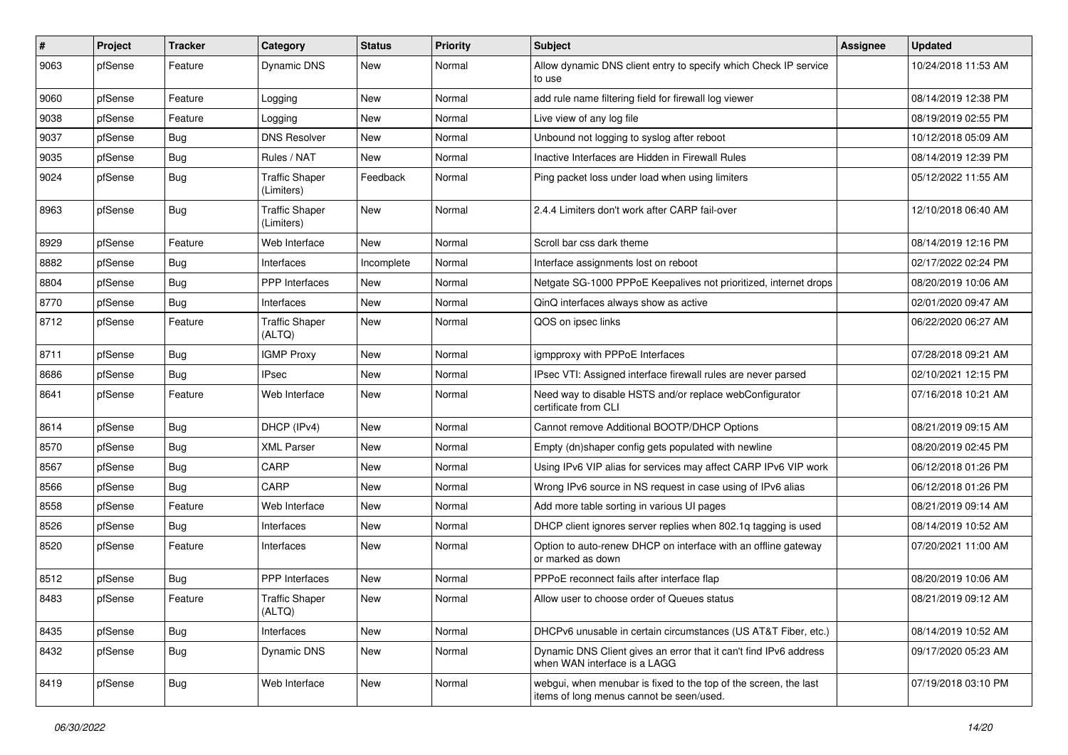| ∦    | Project | <b>Tracker</b> | Category                            | <b>Status</b> | <b>Priority</b> | Subject                                                                                                      | Assignee | <b>Updated</b>      |
|------|---------|----------------|-------------------------------------|---------------|-----------------|--------------------------------------------------------------------------------------------------------------|----------|---------------------|
| 9063 | pfSense | Feature        | <b>Dynamic DNS</b>                  | New           | Normal          | Allow dynamic DNS client entry to specify which Check IP service<br>to use                                   |          | 10/24/2018 11:53 AM |
| 9060 | pfSense | Feature        | Logging                             | <b>New</b>    | Normal          | add rule name filtering field for firewall log viewer                                                        |          | 08/14/2019 12:38 PM |
| 9038 | pfSense | Feature        | Logging                             | New           | Normal          | Live view of any log file                                                                                    |          | 08/19/2019 02:55 PM |
| 9037 | pfSense | <b>Bug</b>     | <b>DNS Resolver</b>                 | New           | Normal          | Unbound not logging to syslog after reboot                                                                   |          | 10/12/2018 05:09 AM |
| 9035 | pfSense | <b>Bug</b>     | Rules / NAT                         | <b>New</b>    | Normal          | Inactive Interfaces are Hidden in Firewall Rules                                                             |          | 08/14/2019 12:39 PM |
| 9024 | pfSense | <b>Bug</b>     | <b>Traffic Shaper</b><br>(Limiters) | Feedback      | Normal          | Ping packet loss under load when using limiters                                                              |          | 05/12/2022 11:55 AM |
| 8963 | pfSense | Bug            | <b>Traffic Shaper</b><br>(Limiters) | New           | Normal          | 2.4.4 Limiters don't work after CARP fail-over                                                               |          | 12/10/2018 06:40 AM |
| 8929 | pfSense | Feature        | Web Interface                       | <b>New</b>    | Normal          | Scroll bar css dark theme                                                                                    |          | 08/14/2019 12:16 PM |
| 8882 | pfSense | <b>Bug</b>     | Interfaces                          | Incomplete    | Normal          | Interface assignments lost on reboot                                                                         |          | 02/17/2022 02:24 PM |
| 8804 | pfSense | <b>Bug</b>     | PPP Interfaces                      | <b>New</b>    | Normal          | Netgate SG-1000 PPPoE Keepalives not prioritized, internet drops                                             |          | 08/20/2019 10:06 AM |
| 8770 | pfSense | <b>Bug</b>     | Interfaces                          | <b>New</b>    | Normal          | QinQ interfaces always show as active                                                                        |          | 02/01/2020 09:47 AM |
| 8712 | pfSense | Feature        | <b>Traffic Shaper</b><br>(ALTQ)     | New           | Normal          | QOS on ipsec links                                                                                           |          | 06/22/2020 06:27 AM |
| 8711 | pfSense | <b>Bug</b>     | <b>IGMP Proxy</b>                   | <b>New</b>    | Normal          | igmpproxy with PPPoE Interfaces                                                                              |          | 07/28/2018 09:21 AM |
| 8686 | pfSense | <b>Bug</b>     | <b>IPsec</b>                        | <b>New</b>    | Normal          | IPsec VTI: Assigned interface firewall rules are never parsed                                                |          | 02/10/2021 12:15 PM |
| 8641 | pfSense | Feature        | Web Interface                       | New           | Normal          | Need way to disable HSTS and/or replace webConfigurator<br>certificate from CLI                              |          | 07/16/2018 10:21 AM |
| 8614 | pfSense | <b>Bug</b>     | DHCP (IPv4)                         | <b>New</b>    | Normal          | Cannot remove Additional BOOTP/DHCP Options                                                                  |          | 08/21/2019 09:15 AM |
| 8570 | pfSense | <b>Bug</b>     | <b>XML Parser</b>                   | <b>New</b>    | Normal          | Empty (dn)shaper config gets populated with newline                                                          |          | 08/20/2019 02:45 PM |
| 8567 | pfSense | <b>Bug</b>     | CARP                                | New           | Normal          | Using IPv6 VIP alias for services may affect CARP IPv6 VIP work                                              |          | 06/12/2018 01:26 PM |
| 8566 | pfSense | Bug            | CARP                                | <b>New</b>    | Normal          | Wrong IPv6 source in NS request in case using of IPv6 alias                                                  |          | 06/12/2018 01:26 PM |
| 8558 | pfSense | Feature        | Web Interface                       | New           | Normal          | Add more table sorting in various UI pages                                                                   |          | 08/21/2019 09:14 AM |
| 8526 | pfSense | <b>Bug</b>     | Interfaces                          | <b>New</b>    | Normal          | DHCP client ignores server replies when 802.1g tagging is used                                               |          | 08/14/2019 10:52 AM |
| 8520 | pfSense | Feature        | Interfaces                          | New           | Normal          | Option to auto-renew DHCP on interface with an offline gateway<br>or marked as down                          |          | 07/20/2021 11:00 AM |
| 8512 | pfSense | <b>Bug</b>     | PPP Interfaces                      | <b>New</b>    | Normal          | PPPoE reconnect fails after interface flap                                                                   |          | 08/20/2019 10:06 AM |
| 8483 | pfSense | Feature        | <b>Traffic Shaper</b><br>(ALTQ)     | New           | Normal          | Allow user to choose order of Queues status                                                                  |          | 08/21/2019 09:12 AM |
| 8435 | pfSense | Bug            | Interfaces                          | New           | Normal          | DHCPv6 unusable in certain circumstances (US AT&T Fiber, etc.)                                               |          | 08/14/2019 10:52 AM |
| 8432 | pfSense | <b>Bug</b>     | Dynamic DNS                         | New           | Normal          | Dynamic DNS Client gives an error that it can't find IPv6 address<br>when WAN interface is a LAGG            |          | 09/17/2020 05:23 AM |
| 8419 | pfSense | <b>Bug</b>     | Web Interface                       | New           | Normal          | webgui, when menubar is fixed to the top of the screen, the last<br>items of long menus cannot be seen/used. |          | 07/19/2018 03:10 PM |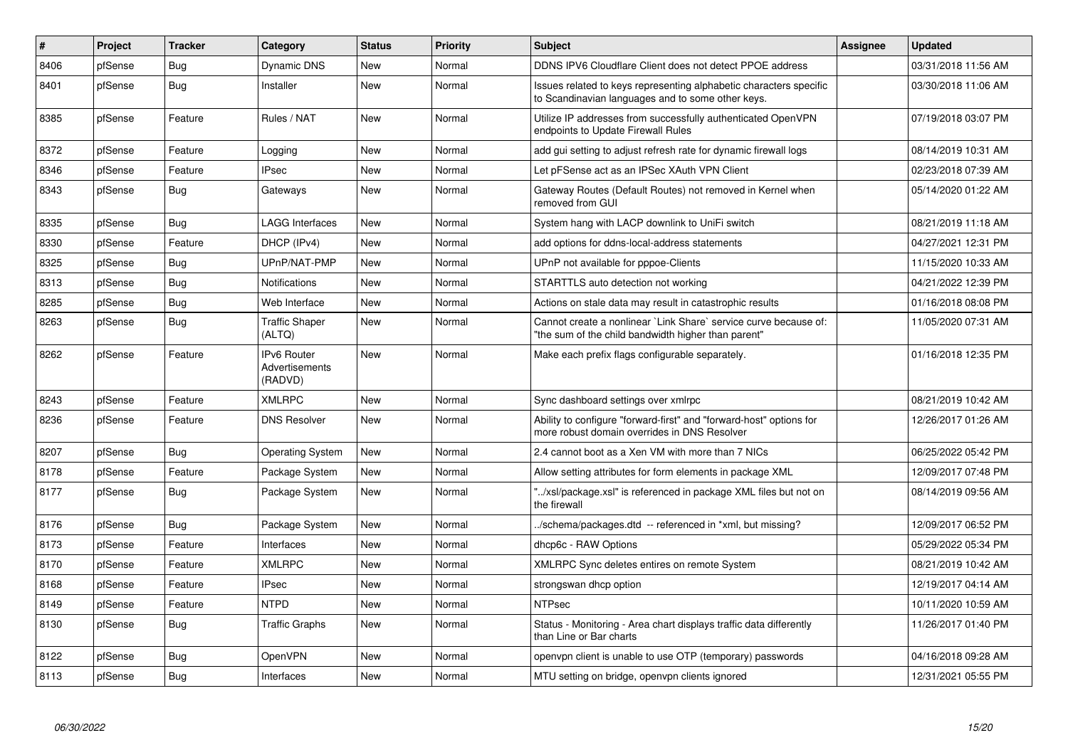| #    | Project | <b>Tracker</b> | Category                                        | <b>Status</b> | <b>Priority</b> | <b>Subject</b>                                                                                                          | <b>Assignee</b> | <b>Updated</b>      |
|------|---------|----------------|-------------------------------------------------|---------------|-----------------|-------------------------------------------------------------------------------------------------------------------------|-----------------|---------------------|
| 8406 | pfSense | Bug            | Dynamic DNS                                     | <b>New</b>    | Normal          | DDNS IPV6 Cloudflare Client does not detect PPOE address                                                                |                 | 03/31/2018 11:56 AM |
| 8401 | pfSense | Bug            | Installer                                       | <b>New</b>    | Normal          | Issues related to keys representing alphabetic characters specific<br>to Scandinavian languages and to some other keys. |                 | 03/30/2018 11:06 AM |
| 8385 | pfSense | Feature        | Rules / NAT                                     | <b>New</b>    | Normal          | Utilize IP addresses from successfully authenticated OpenVPN<br>endpoints to Update Firewall Rules                      |                 | 07/19/2018 03:07 PM |
| 8372 | pfSense | Feature        | Logging                                         | <b>New</b>    | Normal          | add gui setting to adjust refresh rate for dynamic firewall logs                                                        |                 | 08/14/2019 10:31 AM |
| 8346 | pfSense | Feature        | <b>IPsec</b>                                    | <b>New</b>    | Normal          | Let pFSense act as an IPSec XAuth VPN Client                                                                            |                 | 02/23/2018 07:39 AM |
| 8343 | pfSense | <b>Bug</b>     | Gateways                                        | <b>New</b>    | Normal          | Gateway Routes (Default Routes) not removed in Kernel when<br>removed from GUI                                          |                 | 05/14/2020 01:22 AM |
| 8335 | pfSense | Bug            | <b>LAGG Interfaces</b>                          | New           | Normal          | System hang with LACP downlink to UniFi switch                                                                          |                 | 08/21/2019 11:18 AM |
| 8330 | pfSense | Feature        | DHCP (IPv4)                                     | <b>New</b>    | Normal          | add options for ddns-local-address statements                                                                           |                 | 04/27/2021 12:31 PM |
| 8325 | pfSense | Bug            | UPnP/NAT-PMP                                    | <b>New</b>    | Normal          | UPnP not available for pppoe-Clients                                                                                    |                 | 11/15/2020 10:33 AM |
| 8313 | pfSense | Bug            | <b>Notifications</b>                            | <b>New</b>    | Normal          | STARTTLS auto detection not working                                                                                     |                 | 04/21/2022 12:39 PM |
| 8285 | pfSense | Bug            | Web Interface                                   | <b>New</b>    | Normal          | Actions on stale data may result in catastrophic results                                                                |                 | 01/16/2018 08:08 PM |
| 8263 | pfSense | <b>Bug</b>     | <b>Traffic Shaper</b><br>(ALTQ)                 | New           | Normal          | Cannot create a nonlinear `Link Share` service curve because of:<br>"the sum of the child bandwidth higher than parent" |                 | 11/05/2020 07:31 AM |
| 8262 | pfSense | Feature        | <b>IPv6 Router</b><br>Advertisements<br>(RADVD) | <b>New</b>    | Normal          | Make each prefix flags configurable separately.                                                                         |                 | 01/16/2018 12:35 PM |
| 8243 | pfSense | Feature        | <b>XMLRPC</b>                                   | <b>New</b>    | Normal          | Sync dashboard settings over xmlrpc                                                                                     |                 | 08/21/2019 10:42 AM |
| 8236 | pfSense | Feature        | <b>DNS Resolver</b>                             | <b>New</b>    | Normal          | Ability to configure "forward-first" and "forward-host" options for<br>more robust domain overrides in DNS Resolver     |                 | 12/26/2017 01:26 AM |
| 8207 | pfSense | <b>Bug</b>     | <b>Operating System</b>                         | New           | Normal          | 2.4 cannot boot as a Xen VM with more than 7 NICs                                                                       |                 | 06/25/2022 05:42 PM |
| 8178 | pfSense | Feature        | Package System                                  | <b>New</b>    | Normal          | Allow setting attributes for form elements in package XML                                                               |                 | 12/09/2017 07:48 PM |
| 8177 | pfSense | Bug            | Package System                                  | <b>New</b>    | Normal          | "/xsl/package.xsl" is referenced in package XML files but not on<br>the firewall                                        |                 | 08/14/2019 09:56 AM |
| 8176 | pfSense | Bug            | Package System                                  | <b>New</b>    | Normal          | ./schema/packages.dtd -- referenced in *xml, but missing?                                                               |                 | 12/09/2017 06:52 PM |
| 8173 | pfSense | Feature        | Interfaces                                      | <b>New</b>    | Normal          | dhcp6c - RAW Options                                                                                                    |                 | 05/29/2022 05:34 PM |
| 8170 | pfSense | Feature        | <b>XMLRPC</b>                                   | New           | Normal          | XMLRPC Sync deletes entires on remote System                                                                            |                 | 08/21/2019 10:42 AM |
| 8168 | pfSense | Feature        | <b>IPsec</b>                                    | <b>New</b>    | Normal          | strongswan dhcp option                                                                                                  |                 | 12/19/2017 04:14 AM |
| 8149 | pfSense | Feature        | <b>NTPD</b>                                     | <b>New</b>    | Normal          | <b>NTPsec</b>                                                                                                           |                 | 10/11/2020 10:59 AM |
| 8130 | pfSense | <b>Bug</b>     | <b>Traffic Graphs</b>                           | <b>New</b>    | Normal          | Status - Monitoring - Area chart displays traffic data differently<br>than Line or Bar charts                           |                 | 11/26/2017 01:40 PM |
| 8122 | pfSense | Bug            | OpenVPN                                         | <b>New</b>    | Normal          | openypn client is unable to use OTP (temporary) passwords                                                               |                 | 04/16/2018 09:28 AM |
| 8113 | pfSense | <b>Bug</b>     | Interfaces                                      | <b>New</b>    | Normal          | MTU setting on bridge, openvpn clients ignored                                                                          |                 | 12/31/2021 05:55 PM |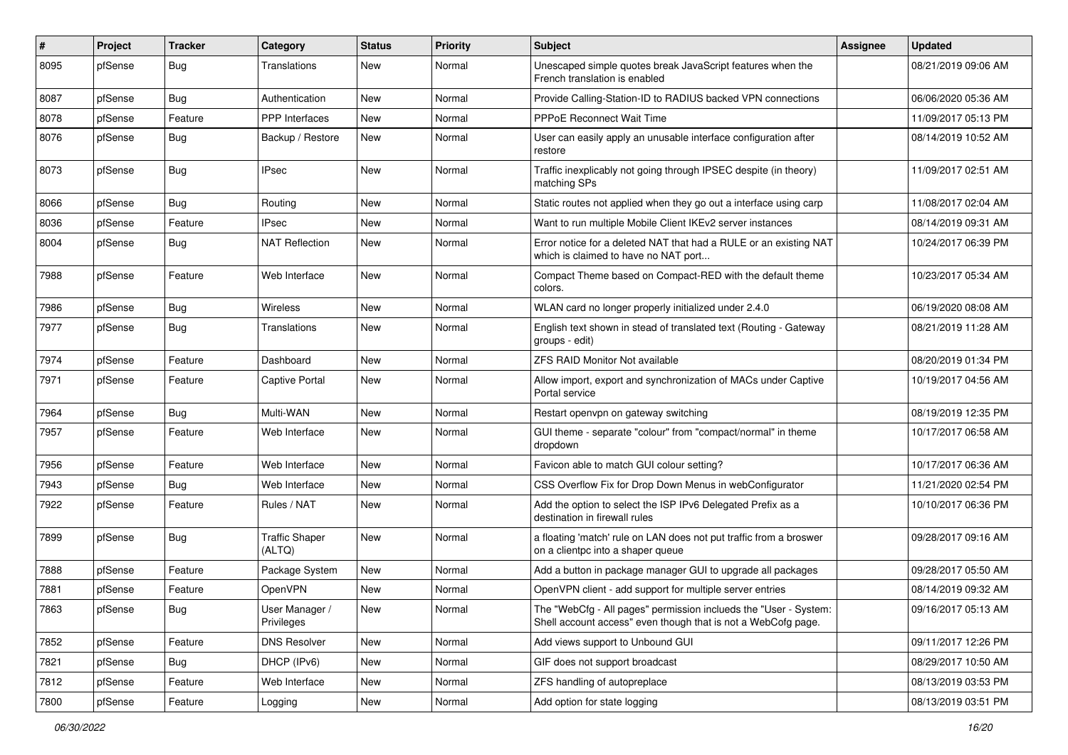| #    | Project | <b>Tracker</b> | Category                        | <b>Status</b> | <b>Priority</b> | Subject                                                                                                                           | <b>Assignee</b> | <b>Updated</b>      |
|------|---------|----------------|---------------------------------|---------------|-----------------|-----------------------------------------------------------------------------------------------------------------------------------|-----------------|---------------------|
| 8095 | pfSense | <b>Bug</b>     | Translations                    | New           | Normal          | Unescaped simple quotes break JavaScript features when the<br>French translation is enabled                                       |                 | 08/21/2019 09:06 AM |
| 8087 | pfSense | <b>Bug</b>     | Authentication                  | New           | Normal          | Provide Calling-Station-ID to RADIUS backed VPN connections                                                                       |                 | 06/06/2020 05:36 AM |
| 8078 | pfSense | Feature        | PPP Interfaces                  | New           | Normal          | PPPoE Reconnect Wait Time                                                                                                         |                 | 11/09/2017 05:13 PM |
| 8076 | pfSense | <b>Bug</b>     | Backup / Restore                | New           | Normal          | User can easily apply an unusable interface configuration after<br>restore                                                        |                 | 08/14/2019 10:52 AM |
| 8073 | pfSense | <b>Bug</b>     | <b>IPsec</b>                    | <b>New</b>    | Normal          | Traffic inexplicably not going through IPSEC despite (in theory)<br>matching SPs                                                  |                 | 11/09/2017 02:51 AM |
| 8066 | pfSense | <b>Bug</b>     | Routing                         | <b>New</b>    | Normal          | Static routes not applied when they go out a interface using carp                                                                 |                 | 11/08/2017 02:04 AM |
| 8036 | pfSense | Feature        | <b>IPsec</b>                    | <b>New</b>    | Normal          | Want to run multiple Mobile Client IKEv2 server instances                                                                         |                 | 08/14/2019 09:31 AM |
| 8004 | pfSense | <b>Bug</b>     | <b>NAT Reflection</b>           | New           | Normal          | Error notice for a deleted NAT that had a RULE or an existing NAT<br>which is claimed to have no NAT port                         |                 | 10/24/2017 06:39 PM |
| 7988 | pfSense | Feature        | Web Interface                   | <b>New</b>    | Normal          | Compact Theme based on Compact-RED with the default theme<br>colors.                                                              |                 | 10/23/2017 05:34 AM |
| 7986 | pfSense | <b>Bug</b>     | Wireless                        | <b>New</b>    | Normal          | WLAN card no longer properly initialized under 2.4.0                                                                              |                 | 06/19/2020 08:08 AM |
| 7977 | pfSense | Bug            | Translations                    | <b>New</b>    | Normal          | English text shown in stead of translated text (Routing - Gateway<br>groups - edit)                                               |                 | 08/21/2019 11:28 AM |
| 7974 | pfSense | Feature        | Dashboard                       | <b>New</b>    | Normal          | <b>ZFS RAID Monitor Not available</b>                                                                                             |                 | 08/20/2019 01:34 PM |
| 7971 | pfSense | Feature        | <b>Captive Portal</b>           | <b>New</b>    | Normal          | Allow import, export and synchronization of MACs under Captive<br>Portal service                                                  |                 | 10/19/2017 04:56 AM |
| 7964 | pfSense | <b>Bug</b>     | Multi-WAN                       | <b>New</b>    | Normal          | Restart openvpn on gateway switching                                                                                              |                 | 08/19/2019 12:35 PM |
| 7957 | pfSense | Feature        | Web Interface                   | New           | Normal          | GUI theme - separate "colour" from "compact/normal" in theme<br>dropdown                                                          |                 | 10/17/2017 06:58 AM |
| 7956 | pfSense | Feature        | Web Interface                   | New           | Normal          | Favicon able to match GUI colour setting?                                                                                         |                 | 10/17/2017 06:36 AM |
| 7943 | pfSense | Bug            | Web Interface                   | New           | Normal          | CSS Overflow Fix for Drop Down Menus in webConfigurator                                                                           |                 | 11/21/2020 02:54 PM |
| 7922 | pfSense | Feature        | Rules / NAT                     | New           | Normal          | Add the option to select the ISP IPv6 Delegated Prefix as a<br>destination in firewall rules                                      |                 | 10/10/2017 06:36 PM |
| 7899 | pfSense | <b>Bug</b>     | <b>Traffic Shaper</b><br>(ALTQ) | <b>New</b>    | Normal          | a floating 'match' rule on LAN does not put traffic from a broswer<br>on a clientpc into a shaper queue                           |                 | 09/28/2017 09:16 AM |
| 7888 | pfSense | Feature        | Package System                  | <b>New</b>    | Normal          | Add a button in package manager GUI to upgrade all packages                                                                       |                 | 09/28/2017 05:50 AM |
| 7881 | pfSense | Feature        | OpenVPN                         | New           | Normal          | OpenVPN client - add support for multiple server entries                                                                          |                 | 08/14/2019 09:32 AM |
| 7863 | pfSense | <b>Bug</b>     | User Manager /<br>Privileges    | New           | Normal          | The "WebCfg - All pages" permission inclueds the "User - System:<br>Shell account access" even though that is not a WebCofg page. |                 | 09/16/2017 05:13 AM |
| 7852 | pfSense | Feature        | <b>DNS Resolver</b>             | New           | Normal          | Add views support to Unbound GUI                                                                                                  |                 | 09/11/2017 12:26 PM |
| 7821 | pfSense | Bug            | DHCP (IPv6)                     | New           | Normal          | GIF does not support broadcast                                                                                                    |                 | 08/29/2017 10:50 AM |
| 7812 | pfSense | Feature        | Web Interface                   | New           | Normal          | ZFS handling of autopreplace                                                                                                      |                 | 08/13/2019 03:53 PM |
| 7800 | pfSense | Feature        | Logging                         | New           | Normal          | Add option for state logging                                                                                                      |                 | 08/13/2019 03:51 PM |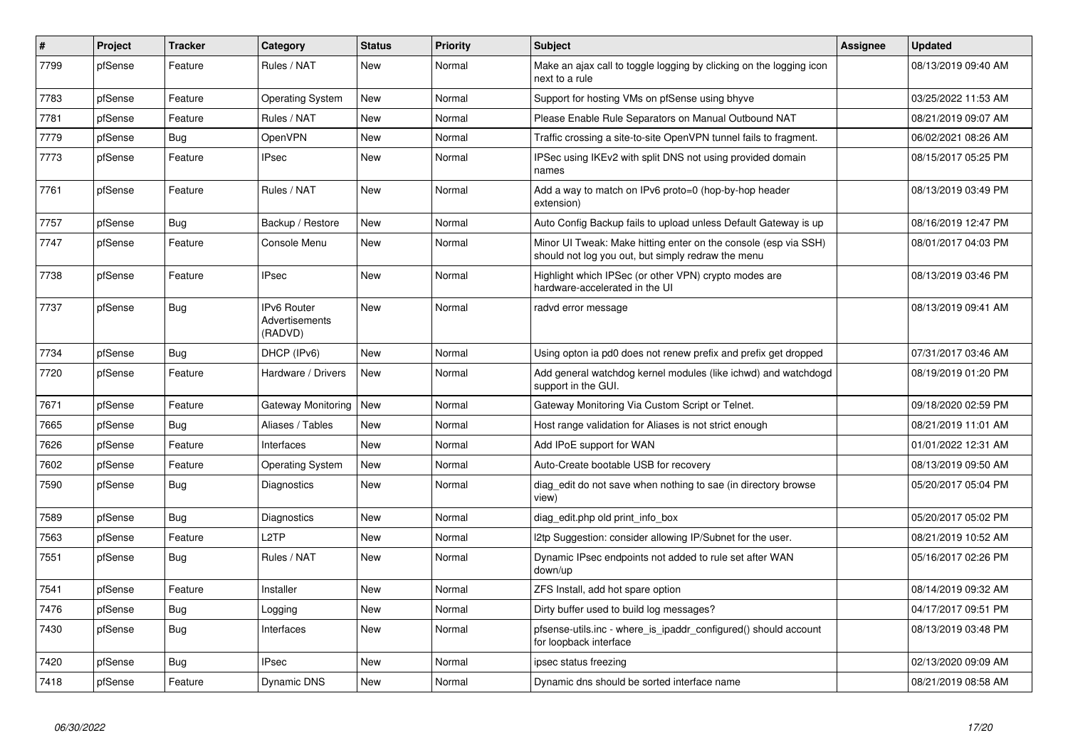| #    | Project | <b>Tracker</b> | Category                                 | <b>Status</b> | Priority | <b>Subject</b>                                                                                                        | <b>Assignee</b> | <b>Updated</b>      |
|------|---------|----------------|------------------------------------------|---------------|----------|-----------------------------------------------------------------------------------------------------------------------|-----------------|---------------------|
| 7799 | pfSense | Feature        | Rules / NAT                              | <b>New</b>    | Normal   | Make an ajax call to toggle logging by clicking on the logging icon<br>next to a rule                                 |                 | 08/13/2019 09:40 AM |
| 7783 | pfSense | Feature        | <b>Operating System</b>                  | New           | Normal   | Support for hosting VMs on pfSense using bhyve                                                                        |                 | 03/25/2022 11:53 AM |
| 7781 | pfSense | Feature        | Rules / NAT                              | <b>New</b>    | Normal   | Please Enable Rule Separators on Manual Outbound NAT                                                                  |                 | 08/21/2019 09:07 AM |
| 7779 | pfSense | <b>Bug</b>     | OpenVPN                                  | <b>New</b>    | Normal   | Traffic crossing a site-to-site OpenVPN tunnel fails to fragment.                                                     |                 | 06/02/2021 08:26 AM |
| 7773 | pfSense | Feature        | <b>IPsec</b>                             | <b>New</b>    | Normal   | IPSec using IKEv2 with split DNS not using provided domain<br>names                                                   |                 | 08/15/2017 05:25 PM |
| 7761 | pfSense | Feature        | Rules / NAT                              | <b>New</b>    | Normal   | Add a way to match on IPv6 proto=0 (hop-by-hop header<br>extension)                                                   |                 | 08/13/2019 03:49 PM |
| 7757 | pfSense | <b>Bug</b>     | Backup / Restore                         | <b>New</b>    | Normal   | Auto Config Backup fails to upload unless Default Gateway is up                                                       |                 | 08/16/2019 12:47 PM |
| 7747 | pfSense | Feature        | Console Menu                             | <b>New</b>    | Normal   | Minor UI Tweak: Make hitting enter on the console (esp via SSH)<br>should not log you out, but simply redraw the menu |                 | 08/01/2017 04:03 PM |
| 7738 | pfSense | Feature        | <b>IPsec</b>                             | <b>New</b>    | Normal   | Highlight which IPSec (or other VPN) crypto modes are<br>hardware-accelerated in the UI                               |                 | 08/13/2019 03:46 PM |
| 7737 | pfSense | <b>Bug</b>     | IPv6 Router<br>Advertisements<br>(RADVD) | <b>New</b>    | Normal   | radvd error message                                                                                                   |                 | 08/13/2019 09:41 AM |
| 7734 | pfSense | <b>Bug</b>     | DHCP (IPv6)                              | <b>New</b>    | Normal   | Using opton ia pd0 does not renew prefix and prefix get dropped                                                       |                 | 07/31/2017 03:46 AM |
| 7720 | pfSense | Feature        | Hardware / Drivers                       | <b>New</b>    | Normal   | Add general watchdog kernel modules (like ichwd) and watchdogd<br>support in the GUI.                                 |                 | 08/19/2019 01:20 PM |
| 7671 | pfSense | Feature        | Gateway Monitoring                       | <b>New</b>    | Normal   | Gateway Monitoring Via Custom Script or Telnet.                                                                       |                 | 09/18/2020 02:59 PM |
| 7665 | pfSense | <b>Bug</b>     | Aliases / Tables                         | <b>New</b>    | Normal   | Host range validation for Aliases is not strict enough                                                                |                 | 08/21/2019 11:01 AM |
| 7626 | pfSense | Feature        | Interfaces                               | <b>New</b>    | Normal   | Add IPoE support for WAN                                                                                              |                 | 01/01/2022 12:31 AM |
| 7602 | pfSense | Feature        | <b>Operating System</b>                  | <b>New</b>    | Normal   | Auto-Create bootable USB for recovery                                                                                 |                 | 08/13/2019 09:50 AM |
| 7590 | pfSense | <b>Bug</b>     | Diagnostics                              | New           | Normal   | diag edit do not save when nothing to sae (in directory browse<br>view)                                               |                 | 05/20/2017 05:04 PM |
| 7589 | pfSense | <b>Bug</b>     | Diagnostics                              | <b>New</b>    | Normal   | diag_edit.php old print_info_box                                                                                      |                 | 05/20/2017 05:02 PM |
| 7563 | pfSense | Feature        | L <sub>2</sub> TP                        | <b>New</b>    | Normal   | 12tp Suggestion: consider allowing IP/Subnet for the user.                                                            |                 | 08/21/2019 10:52 AM |
| 7551 | pfSense | Bug            | Rules / NAT                              | <b>New</b>    | Normal   | Dynamic IPsec endpoints not added to rule set after WAN<br>down/up                                                    |                 | 05/16/2017 02:26 PM |
| 7541 | pfSense | Feature        | Installer                                | <b>New</b>    | Normal   | ZFS Install, add hot spare option                                                                                     |                 | 08/14/2019 09:32 AM |
| 7476 | pfSense | Bug            | Logging                                  | <b>New</b>    | Normal   | Dirty buffer used to build log messages?                                                                              |                 | 04/17/2017 09:51 PM |
| 7430 | pfSense | <b>Bug</b>     | Interfaces                               | <b>New</b>    | Normal   | pfsense-utils.inc - where_is_ipaddr_configured() should account<br>for loopback interface                             |                 | 08/13/2019 03:48 PM |
| 7420 | pfSense | Bug            | <b>IPsec</b>                             | <b>New</b>    | Normal   | ipsec status freezing                                                                                                 |                 | 02/13/2020 09:09 AM |
| 7418 | pfSense | Feature        | <b>Dynamic DNS</b>                       | <b>New</b>    | Normal   | Dynamic dns should be sorted interface name                                                                           |                 | 08/21/2019 08:58 AM |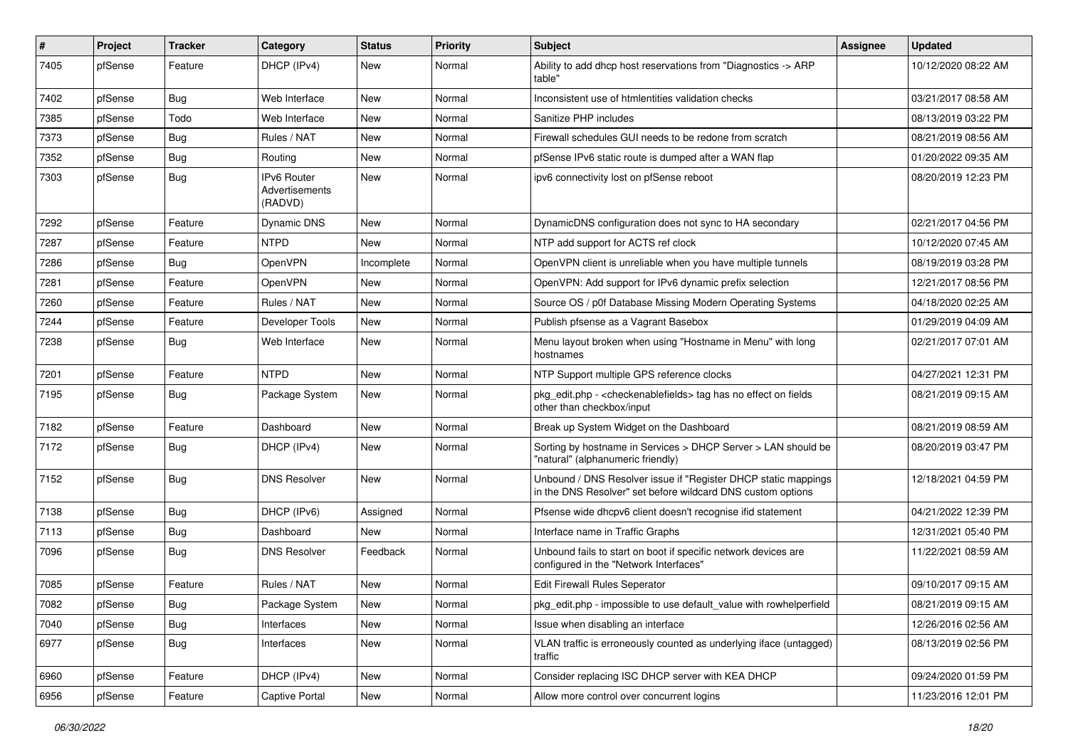| #    | Project | <b>Tracker</b> | Category                                 | <b>Status</b> | <b>Priority</b> | Subject                                                                                                                       | <b>Assignee</b> | <b>Updated</b>      |
|------|---------|----------------|------------------------------------------|---------------|-----------------|-------------------------------------------------------------------------------------------------------------------------------|-----------------|---------------------|
| 7405 | pfSense | Feature        | DHCP (IPv4)                              | New           | Normal          | Ability to add dhcp host reservations from "Diagnostics -> ARP<br>table"                                                      |                 | 10/12/2020 08:22 AM |
| 7402 | pfSense | <b>Bug</b>     | Web Interface                            | New           | Normal          | Inconsistent use of htmlentities validation checks                                                                            |                 | 03/21/2017 08:58 AM |
| 7385 | pfSense | Todo           | Web Interface                            | <b>New</b>    | Normal          | Sanitize PHP includes                                                                                                         |                 | 08/13/2019 03:22 PM |
| 7373 | pfSense | <b>Bug</b>     | Rules / NAT                              | <b>New</b>    | Normal          | Firewall schedules GUI needs to be redone from scratch                                                                        |                 | 08/21/2019 08:56 AM |
| 7352 | pfSense | Bug            | Routing                                  | New           | Normal          | pfSense IPv6 static route is dumped after a WAN flap                                                                          |                 | 01/20/2022 09:35 AM |
| 7303 | pfSense | Bug            | IPv6 Router<br>Advertisements<br>(RADVD) | New           | Normal          | ipv6 connectivity lost on pfSense reboot                                                                                      |                 | 08/20/2019 12:23 PM |
| 7292 | pfSense | Feature        | Dynamic DNS                              | <b>New</b>    | Normal          | DynamicDNS configuration does not sync to HA secondary                                                                        |                 | 02/21/2017 04:56 PM |
| 7287 | pfSense | Feature        | <b>NTPD</b>                              | New           | Normal          | NTP add support for ACTS ref clock                                                                                            |                 | 10/12/2020 07:45 AM |
| 7286 | pfSense | <b>Bug</b>     | OpenVPN                                  | Incomplete    | Normal          | OpenVPN client is unreliable when you have multiple tunnels                                                                   |                 | 08/19/2019 03:28 PM |
| 7281 | pfSense | Feature        | OpenVPN                                  | <b>New</b>    | Normal          | OpenVPN: Add support for IPv6 dynamic prefix selection                                                                        |                 | 12/21/2017 08:56 PM |
| 7260 | pfSense | Feature        | Rules / NAT                              | <b>New</b>    | Normal          | Source OS / p0f Database Missing Modern Operating Systems                                                                     |                 | 04/18/2020 02:25 AM |
| 7244 | pfSense | Feature        | Developer Tools                          | New           | Normal          | Publish pfsense as a Vagrant Basebox                                                                                          |                 | 01/29/2019 04:09 AM |
| 7238 | pfSense | Bug            | Web Interface                            | <b>New</b>    | Normal          | Menu layout broken when using "Hostname in Menu" with long<br>hostnames                                                       |                 | 02/21/2017 07:01 AM |
| 7201 | pfSense | Feature        | <b>NTPD</b>                              | <b>New</b>    | Normal          | NTP Support multiple GPS reference clocks                                                                                     |                 | 04/27/2021 12:31 PM |
| 7195 | pfSense | Bug            | Package System                           | New           | Normal          | pkg edit.php - < checkenablefields > tag has no effect on fields<br>other than checkbox/input                                 |                 | 08/21/2019 09:15 AM |
| 7182 | pfSense | Feature        | Dashboard                                | <b>New</b>    | Normal          | Break up System Widget on the Dashboard                                                                                       |                 | 08/21/2019 08:59 AM |
| 7172 | pfSense | Bug            | DHCP (IPv4)                              | New           | Normal          | Sorting by hostname in Services > DHCP Server > LAN should be<br>"natural" (alphanumeric friendly)                            |                 | 08/20/2019 03:47 PM |
| 7152 | pfSense | Bug            | <b>DNS Resolver</b>                      | <b>New</b>    | Normal          | Unbound / DNS Resolver issue if "Register DHCP static mappings<br>in the DNS Resolver" set before wildcard DNS custom options |                 | 12/18/2021 04:59 PM |
| 7138 | pfSense | Bug            | DHCP (IPv6)                              | Assigned      | Normal          | Pfsense wide dhcpv6 client doesn't recognise if id statement                                                                  |                 | 04/21/2022 12:39 PM |
| 7113 | pfSense | Bug            | Dashboard                                | New           | Normal          | Interface name in Traffic Graphs                                                                                              |                 | 12/31/2021 05:40 PM |
| 7096 | pfSense | Bug            | <b>DNS Resolver</b>                      | Feedback      | Normal          | Unbound fails to start on boot if specific network devices are<br>configured in the "Network Interfaces"                      |                 | 11/22/2021 08:59 AM |
| 7085 | pfSense | Feature        | Rules / NAT                              | <b>New</b>    | Normal          | <b>Edit Firewall Rules Seperator</b>                                                                                          |                 | 09/10/2017 09:15 AM |
| 7082 | pfSense | <b>Bug</b>     | Package System                           | New           | Normal          | pkg_edit.php - impossible to use default_value with rowhelperfield                                                            |                 | 08/21/2019 09:15 AM |
| 7040 | pfSense | Bug            | Interfaces                               | New           | Normal          | Issue when disabling an interface                                                                                             |                 | 12/26/2016 02:56 AM |
| 6977 | pfSense | <b>Bug</b>     | Interfaces                               | New           | Normal          | VLAN traffic is erroneously counted as underlying iface (untagged)<br>traffic                                                 |                 | 08/13/2019 02:56 PM |
| 6960 | pfSense | Feature        | DHCP (IPv4)                              | New           | Normal          | Consider replacing ISC DHCP server with KEA DHCP                                                                              |                 | 09/24/2020 01:59 PM |
| 6956 | pfSense | Feature        | <b>Captive Portal</b>                    | New           | Normal          | Allow more control over concurrent logins                                                                                     |                 | 11/23/2016 12:01 PM |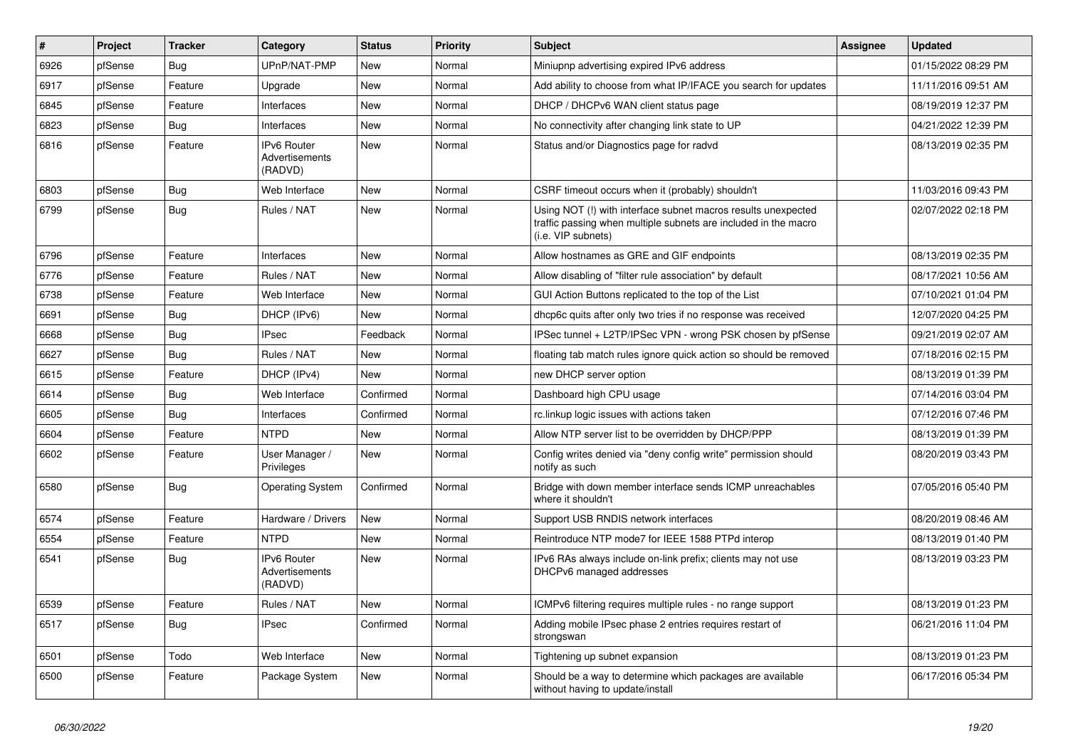| #    | Project | <b>Tracker</b> | Category                                        | <b>Status</b> | <b>Priority</b> | <b>Subject</b>                                                                                                                                         | <b>Assignee</b> | <b>Updated</b>      |
|------|---------|----------------|-------------------------------------------------|---------------|-----------------|--------------------------------------------------------------------------------------------------------------------------------------------------------|-----------------|---------------------|
| 6926 | pfSense | Bug            | UPnP/NAT-PMP                                    | <b>New</b>    | Normal          | Miniupnp advertising expired IPv6 address                                                                                                              |                 | 01/15/2022 08:29 PM |
| 6917 | pfSense | Feature        | Upgrade                                         | <b>New</b>    | Normal          | Add ability to choose from what IP/IFACE you search for updates                                                                                        |                 | 11/11/2016 09:51 AM |
| 6845 | pfSense | Feature        | <b>Interfaces</b>                               | <b>New</b>    | Normal          | DHCP / DHCPv6 WAN client status page                                                                                                                   |                 | 08/19/2019 12:37 PM |
| 6823 | pfSense | Bug            | Interfaces                                      | <b>New</b>    | Normal          | No connectivity after changing link state to UP                                                                                                        |                 | 04/21/2022 12:39 PM |
| 6816 | pfSense | Feature        | <b>IPv6 Router</b><br>Advertisements<br>(RADVD) | <b>New</b>    | Normal          | Status and/or Diagnostics page for radvd                                                                                                               |                 | 08/13/2019 02:35 PM |
| 6803 | pfSense | Bug            | Web Interface                                   | <b>New</b>    | Normal          | CSRF timeout occurs when it (probably) shouldn't                                                                                                       |                 | 11/03/2016 09:43 PM |
| 6799 | pfSense | Bug            | Rules / NAT                                     | <b>New</b>    | Normal          | Using NOT (!) with interface subnet macros results unexpected<br>traffic passing when multiple subnets are included in the macro<br>(i.e. VIP subnets) |                 | 02/07/2022 02:18 PM |
| 6796 | pfSense | Feature        | Interfaces                                      | <b>New</b>    | Normal          | Allow hostnames as GRE and GIF endpoints                                                                                                               |                 | 08/13/2019 02:35 PM |
| 6776 | pfSense | Feature        | Rules / NAT                                     | <b>New</b>    | Normal          | Allow disabling of "filter rule association" by default                                                                                                |                 | 08/17/2021 10:56 AM |
| 6738 | pfSense | Feature        | Web Interface                                   | <b>New</b>    | Normal          | GUI Action Buttons replicated to the top of the List                                                                                                   |                 | 07/10/2021 01:04 PM |
| 6691 | pfSense | Bug            | DHCP (IPv6)                                     | <b>New</b>    | Normal          | dhcp6c quits after only two tries if no response was received                                                                                          |                 | 12/07/2020 04:25 PM |
| 6668 | pfSense | Bug            | <b>IPsec</b>                                    | Feedback      | Normal          | IPSec tunnel + L2TP/IPSec VPN - wrong PSK chosen by pfSense                                                                                            |                 | 09/21/2019 02:07 AM |
| 6627 | pfSense | Bug            | Rules / NAT                                     | <b>New</b>    | Normal          | floating tab match rules ignore quick action so should be removed                                                                                      |                 | 07/18/2016 02:15 PM |
| 6615 | pfSense | Feature        | DHCP (IPv4)                                     | <b>New</b>    | Normal          | new DHCP server option                                                                                                                                 |                 | 08/13/2019 01:39 PM |
| 6614 | pfSense | <b>Bug</b>     | Web Interface                                   | Confirmed     | Normal          | Dashboard high CPU usage                                                                                                                               |                 | 07/14/2016 03:04 PM |
| 6605 | pfSense | <b>Bug</b>     | Interfaces                                      | Confirmed     | Normal          | rc.linkup logic issues with actions taken                                                                                                              |                 | 07/12/2016 07:46 PM |
| 6604 | pfSense | Feature        | <b>NTPD</b>                                     | <b>New</b>    | Normal          | Allow NTP server list to be overridden by DHCP/PPP                                                                                                     |                 | 08/13/2019 01:39 PM |
| 6602 | pfSense | Feature        | User Manager /<br>Privileges                    | <b>New</b>    | Normal          | Config writes denied via "deny config write" permission should<br>notify as such                                                                       |                 | 08/20/2019 03:43 PM |
| 6580 | pfSense | Bug            | <b>Operating System</b>                         | Confirmed     | Normal          | Bridge with down member interface sends ICMP unreachables<br>where it shouldn't                                                                        |                 | 07/05/2016 05:40 PM |
| 6574 | pfSense | Feature        | Hardware / Drivers                              | <b>New</b>    | Normal          | Support USB RNDIS network interfaces                                                                                                                   |                 | 08/20/2019 08:46 AM |
| 6554 | pfSense | Feature        | <b>NTPD</b>                                     | <b>New</b>    | Normal          | Reintroduce NTP mode7 for IEEE 1588 PTPd interop                                                                                                       |                 | 08/13/2019 01:40 PM |
| 6541 | pfSense | Bug            | <b>IPv6 Router</b><br>Advertisements<br>(RADVD) | <b>New</b>    | Normal          | IPv6 RAs always include on-link prefix; clients may not use<br>DHCPv6 managed addresses                                                                |                 | 08/13/2019 03:23 PM |
| 6539 | pfSense | Feature        | Rules / NAT                                     | <b>New</b>    | Normal          | ICMPv6 filtering requires multiple rules - no range support                                                                                            |                 | 08/13/2019 01:23 PM |
| 6517 | pfSense | <b>Bug</b>     | <b>IPsec</b>                                    | Confirmed     | Normal          | Adding mobile IPsec phase 2 entries requires restart of<br>strongswan                                                                                  |                 | 06/21/2016 11:04 PM |
| 6501 | pfSense | Todo           | Web Interface                                   | <b>New</b>    | Normal          | Tightening up subnet expansion                                                                                                                         |                 | 08/13/2019 01:23 PM |
| 6500 | pfSense | Feature        | Package System                                  | <b>New</b>    | Normal          | Should be a way to determine which packages are available<br>without having to update/install                                                          |                 | 06/17/2016 05:34 PM |